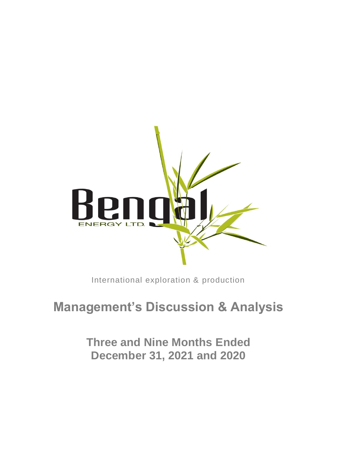

International exploration & production

# **Management's Discussion & Analysis**

**Three and Nine Months Ended December 31, 2021 and 2020**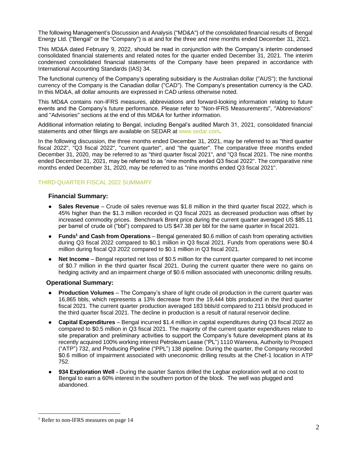The following Management's Discussion and Analysis ("MD&A") of the consolidated financial results of Bengal Energy Ltd. ("Bengal" or the "Company") is at and for the three and nine months ended December 31, 2021.

This MD&A dated February 9, 2022, should be read in conjunction with the Company's interim condensed consolidated financial statements and related notes for the quarter ended December 31, 2021. The interim condensed consolidated financial statements of the Company have been prepared in accordance with International Accounting Standards (IAS) 34.

The functional currency of the Company's operating subsidiary is the Australian dollar ("AUS"); the functional currency of the Company is the Canadian dollar ("CAD"). The Company's presentation currency is the CAD. In this MD&A, all dollar amounts are expressed in CAD unless otherwise noted.

This MD&A contains non-IFRS measures, abbreviations and forward-looking information relating to future events and the Company's future performance. Please refer to "Non-IFRS Measurements", "Abbreviations" and "Advisories" sections at the end of this MD&A for further information.

Additional information relating to Bengal, including Bengal's audited March 31, 2021, consolidated financial statements and other filings are available on SEDAR at www.sedar.com.

In the following discussion, the three months ended December 31, 2021, may be referred to as "third quarter fiscal 2022", "Q3 fiscal 2022", "current quarter", and "the quarter". The comparative three months ended December 31, 2020, may be referred to as "third quarter fiscal 2021", and "Q3 fiscal 2021. The nine months ended December 31, 2021, may be referred to as "nine months ended Q3 fiscal 2022". The comparative nine months ended December 31, 2020, may be referred to as "nine months ended Q3 fiscal 2021".

## THIRD QUARTER FISCAL 2022 SUMMARY

### **Financial Summary:**

- **Sales Revenue** Crude oil sales revenue was \$1.8 million in the third quarter fiscal 2022, which is 45% higher than the \$1.3 million recorded in Q3 fiscal 2021 as decreased production was offset by increased commodity prices. Benchmark Brent price during the current quarter averaged US \$85.11 per barrel of crude oil ("bbl") compared to US \$47.38 per bbl for the same quarter in fiscal 2021.
- **Funds<sup>1</sup> and Cash from Operations** Bengal generated \$0.6 million of cash from operating activities during Q3 fiscal 2022 compared to \$0.1 million in Q3 fiscal 2021. Funds from operations were \$0.4 million during fiscal Q3 2022 compared to \$0.1 million in Q3 fiscal 2021.
- **Net Income** Bengal reported net loss of \$0.5 million for the current quarter compared to net income of \$0.7 million in the third quarter fiscal 2021. During the current quarter there were no gains on hedging activity and an impairment charge of \$0.6 million associated with uneconomic drilling results.

### **Operational Summary:**

- **Production Volumes** The Company's share of light crude oil production in the current quarter was 16,865 bbls, which represents a 13% decrease from the 19,444 bbls produced in the third quarter fiscal 2021. The current quarter production averaged 183 bbls/d compared to 211 bbls/d produced in the third quarter fiscal 2021. The decline in production is a result of natural reservoir decline.
- **Capital Expenditures** Bengal incurred \$1.4 million in capital expenditures during Q3 fiscal 2022 as compared to \$0.5 million in Q3 fiscal 2021. The majority of the current quarter expenditures relate to site preparation and preliminary activities to support the Company's future development plans at its recently acquired 100% working interest Petroleum Lease ("PL") 1110 Wareena, Authority to Prospect ("ATP") 732, and Producing Pipeline ("PPL") 138 pipeline. During the quarter, the Company recorded \$0.6 million of impairment associated with uneconomic drilling results at the Chef-1 location in ATP 752.
- 934 Exploration Well During the quarter Santos drilled the Legbar exploration well at no cost to Bengal to earn a 60% interest in the southern portion of the block. The well was plugged and abandoned.

<sup>&</sup>lt;sup>1</sup> Refer to non-IFRS measures on page 14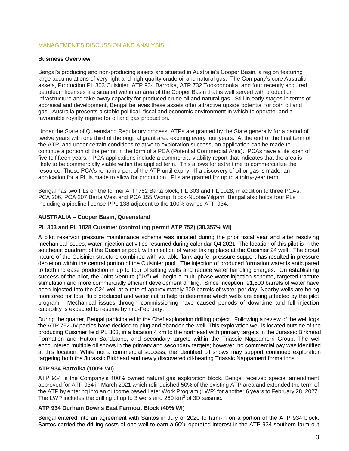## MANAGEMENT'S DISCUSSION AND ANALYSIS

### **Business Overview**

Bengal's producing and non-producing assets are situated in Australia's Cooper Basin, a region featuring large accumulations of very light and high-quality crude oil and natural gas. The Company's core Australian assets, Production PL 303 Cuisinier, ATP 934 Barrolka, ATP 732 Tookoonooka, and four recently acquired petroleum licenses are situated within an area of the Cooper Basin that is well served with production infrastructure and take-away capacity for produced crude oil and natural gas. Still in early stages in terms of appraisal and development, Bengal believes these assets offer attractive upside potential for both oil and gas. Australia presents a stable political, fiscal and economic environment in which to operate, and a favourable royalty regime for oil and gas production.

Under the State of Queensland Regulatory process, ATPs are granted by the State generally for a period of twelve years with one third of the original grant area expiring every four years. At the end of the final term of the ATP, and under certain conditions relative to exploration success, an application can be made to continue a portion of the permit in the form of a PCA (Potential Commercial Area). PCAs have a life span of five to fifteen years. PCA applications include a commercial viability report that indicates that the area is likely to be commercially viable within the applied term. This allows for extra time to commercialize the resource. These PCA's remain a part of the ATP until expiry. If a discovery of oil or gas is made, an application for a PL is made to allow for production. PLs are granted for up to a thirty-year term.

Bengal has two PLs on the former ATP 752 Barta block, PL 303 and PL 1028, in addition to three PCAs, PCA 206, PCA 207 Barta West and PCA 155 Wompi block-Nubba/Yilgarn. Bengal also holds four PLs including a pipeline license PPL 138 adjacent to the 100% owned ATP 934.

### **AUSTRALIA – Cooper Basin, Queensland**

### **PL 303 and PL 1028 Cuisinier (controlling permit ATP 752) (30.357% WI)**

A pilot reservoir pressure maintenance scheme was initiated during the prior fiscal year and after resolving mechanical issues, water injection activities resumed during calendar Q4 2021. The location of this pilot is in the southeast quadrant of the Cuisinier pool, with injection of water taking place at the Cuisinier 24 well. The broad nature of the Cuisinier structure combined with variable flank aquifer pressure support has resulted in pressure depletion within the central portion of the Cuisinier pool. The injection of produced formation water is anticipated to both increase production in up to four offsetting wells and reduce water handling charges. On establishing success of the pilot, the Joint Venture ("JV") will begin a multi phase water injection scheme, targeted fracture stimulation and more commercially efficient development drilling. Since inception, 21,800 barrels of water have been injected into the C24 well at a rate of approximately 300 barrels of water per day. Nearby wells are being monitored for total fluid produced and water cut to help to determine which wells are being affected by the pilot program. Mechanical issues through commissioning have caused periods of downtime and full injection capability is expected to resume by mid-February.

During the quarter, Bengal participated in the Chef exploration drilling project. Following a review of the well logs, the ATP 752 JV parties have decided to plug and abandon the well. This exploration well is located outside of the producing Cuisinier field PL 303, in a location 4 km to the northeast with primary targets in the Jurassic Birkhead Formation and Hutton Sandstone, and secondary targets within the Triassic Nappamerri Group. The well encountered multiple oil shows in the primary and secondary targets; however, no commercial pay was identified at this location. While not a commercial success, the identified oil shows may support continued exploration targeting both the Jurassic Birkhead and newly discovered oil-bearing Triassic Nappamerri formations.

## **ATP 934 Barrolka (100% WI)**

ATP 934 is the Company's 100% owned natural gas exploration block. Bengal received special amendment approved for ATP 934 in March 2021 which relinquished 50% of the existing ATP area and extended the term of the ATP by entering into an outcome based Later Work Program (LWP) for another 6 years to February 28, 2027. The LWP includes the drilling of up to 3 wells and 260 km<sup>2</sup> of 3D seismic.

### **ATP 934 Durham Downs East Farmout Block (40% WI)**

Bengal entered into an agreement with Santos in July of 2020 to farm-in on a portion of the ATP 934 block. Santos carried the drilling costs of one well to earn a 60% operated interest in the ATP 934 southern farm-out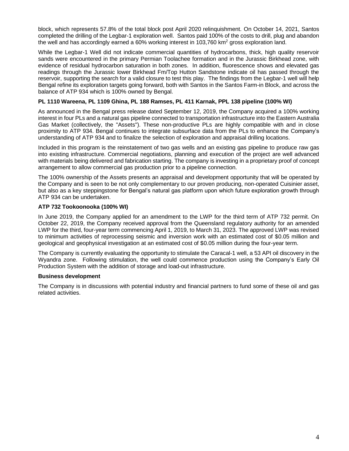block, which represents 57.8% of the total block post April 2020 relinquishment. On October 14, 2021, Santos completed the drilling of the Legbar-1 exploration well. Santos paid 100% of the costs to drill, plug and abandon the well and has accordingly earned a 60% working interest in 103,760 km<sup>2</sup> gross exploration land.

While the Legbar-1 Well did not indicate commercial quantities of hydrocarbons, thick, high quality reservoir sands were encountered in the primary Permian Toolachee formation and in the Jurassic Birkhead zone, with evidence of residual hydrocarbon saturation in both zones. In addition, fluorescence shows and elevated gas readings through the Jurassic lower Birkhead Fm/Top Hutton Sandstone indicate oil has passed through the reservoir, supporting the search for a valid closure to test this play. The findings from the Legbar-1 well will help Bengal refine its exploration targets going forward, both with Santos in the Santos Farm-in Block, and across the balance of ATP 934 which is 100% owned by Bengal.

### **PL 1110 Wareena, PL 1109 Ghina, PL 188 Ramses, PL 411 Karnak, PPL 138 pipeline (100% WI)**

As announced in the Bengal press release dated September 12, 2019, the Company acquired a 100% working interest in four PLs and a natural gas pipeline connected to transportation infrastructure into the Eastern Australia Gas Market (collectively, the "Assets"). These non-productive PLs are highly compatible with and in close proximity to ATP 934. Bengal continues to integrate subsurface data from the PLs to enhance the Company's understanding of ATP 934 and to finalize the selection of exploration and appraisal drilling locations.

Included in this program is the reinstatement of two gas wells and an existing gas pipeline to produce raw gas into existing infrastructure. Commercial negotiations, planning and execution of the project are well advanced with materials being delivered and fabrication starting. The company is investing in a proprietary proof of concept arrangement to allow commercial gas production prior to a pipeline connection.

The 100% ownership of the Assets presents an appraisal and development opportunity that will be operated by the Company and is seen to be not only complementary to our proven producing, non-operated Cuisinier asset, but also as a key steppingstone for Bengal's natural gas platform upon which future exploration growth through ATP 934 can be undertaken.

### **ATP 732 Tookoonooka (100% WI)**

In June 2019, the Company applied for an amendment to the LWP for the third term of ATP 732 permit. On October 22, 2019, the Company received approval from the Queensland regulatory authority for an amended LWP for the third, four-year term commencing April 1, 2019, to March 31, 2023. The approved LWP was revised to minimum activities of reprocessing seismic and inversion work with an estimated cost of \$0.05 million and geological and geophysical investigation at an estimated cost of \$0.05 million during the four-year term.

The Company is currently evaluating the opportunity to stimulate the Caracal-1 well, a 53 API oil discovery in the Wyandra zone. Following stimulation, the well could commence production using the Company's Early Oil Production System with the addition of storage and load-out infrastructure.

### **Business development**

The Company is in discussions with potential industry and financial partners to fund some of these oil and gas related activities.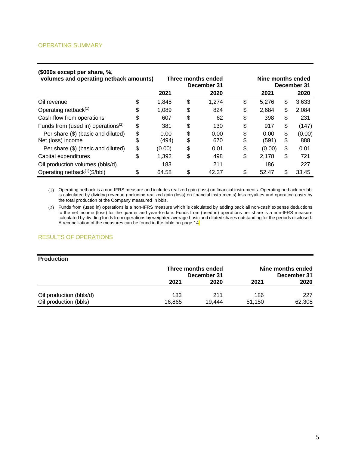### OPERATING SUMMARY

| (\$000s except per share, %,<br>volumes and operating netback amounts) |    | Three months ended<br>December 31 |    | Nine months ended<br>December 31 |    |        |    |        |
|------------------------------------------------------------------------|----|-----------------------------------|----|----------------------------------|----|--------|----|--------|
|                                                                        |    | 2021                              |    | 2020                             |    | 2021   |    | 2020   |
| Oil revenue                                                            | \$ | 1,845                             | \$ | 1,274                            | \$ | 5,276  | \$ | 3,633  |
| Operating netback <sup>(1)</sup>                                       | \$ | 1,089                             | \$ | 824                              | \$ | 2,684  | \$ | 2,084  |
| Cash flow from operations                                              | \$ | 607                               | \$ | 62                               | \$ | 398    | \$ | 231    |
| Funds from (used in) operations <sup>(2)</sup>                         | \$ | 381                               | \$ | 130                              | \$ | 917    | \$ | (147)  |
| Per share (\$) (basic and diluted)                                     | \$ | 0.00                              | \$ | 0.00                             | \$ | 0.00   | \$ | (0.00) |
| Net (loss) income                                                      | S  | (494)                             | \$ | 670                              | \$ | (591)  | \$ | 888    |
| Per share (\$) (basic and diluted)                                     | \$ | (0.00)                            | \$ | 0.01                             | \$ | (0.00) | \$ | 0.01   |
| Capital expenditures                                                   | \$ | 1,392                             | \$ | 498                              | \$ | 2,178  | \$ | 721    |
| Oil production volumes (bbls/d)                                        |    | 183                               |    | 211                              |    | 186    |    | 227    |
| Operating netback <sup>(1)</sup> (\$/bbl)                              | \$ | 64.58                             | \$ | 42.37                            | \$ | 52.47  | \$ | 33.45  |

#### Operating netback is a non-IFRS measure and includes realized gain (loss) on financial instruments. Operating netback per bbl is calculated by dividing revenue (including realized gain (loss) on financial instruments) less royalties and operating costs by the total production of the Company measured in bbls.

Funds from (used in) operations is a non-IFRS measure which is calculated by adding back all non-cash expense deductions to the net income (loss) for the quarter and year-to-date. Funds from (used in) operations per share is a non-IFRS measure calculated by dividing funds from operations by weighted average basic and diluted shares outstanding for the periods disclosed. A reconciliation of the measures can be found in the table on page 14.

### RESULTS OF OPERATIONS

| <b>Production</b>       |                                   |        |                                  |        |
|-------------------------|-----------------------------------|--------|----------------------------------|--------|
|                         | Three months ended<br>December 31 |        | Nine months ended<br>December 31 |        |
|                         | 2021                              | 2020   | 2021                             | 2020   |
| Oil production (bbls/d) | 183                               | 211    | 186                              | 227    |
| Oil production (bbls)   | 16.865                            | 19.444 | 51.150                           | 62,308 |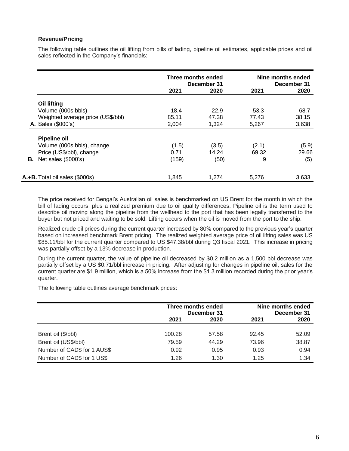## **Revenue/Pricing**

The following table outlines the oil lifting from bills of lading, pipeline oil estimates, applicable prices and oil sales reflected in the Company's financials:

|                                   | Three months ended<br>December 31 |       | Nine months ended<br>December 31 |       |
|-----------------------------------|-----------------------------------|-------|----------------------------------|-------|
|                                   | 2021                              | 2020  | 2021                             | 2020  |
| <b>Oil lifting</b>                |                                   |       |                                  |       |
| Volume (000s bbls)                | 18.4                              | 22.9  | 53.3                             | 68.7  |
| Weighted average price (US\$/bbl) | 85.11                             | 47.38 | 77.43                            | 38.15 |
| <b>A.</b> Sales (\$000's)         | 2,004                             | 1,324 | 5,267                            | 3,638 |
| <b>Pipeline oil</b>               |                                   |       |                                  |       |
| Volume (000s bbls), change        | (1.5)                             | (3.5) | (2.1)                            | (5.9) |
| Price (US\$/bbl), change          | 0.71                              | 14.24 | 69.32                            | 29.66 |
| <b>B.</b> Net sales $(\$000's)$   | (159)                             | (50)  | 9                                | (5)   |
| A.+B. Total oil sales (\$000s)    | 1.845                             | 1.274 | 5.276                            | 3,633 |

The price received for Bengal's Australian oil sales is benchmarked on US Brent for the month in which the bill of lading occurs, plus a realized premium due to oil quality differences. Pipeline oil is the term used to describe oil moving along the pipeline from the wellhead to the port that has been legally transferred to the buyer but not priced and waiting to be sold. Lifting occurs when the oil is moved from the port to the ship.

Realized crude oil prices during the current quarter increased by 80% compared to the previous year's quarter based on increased benchmark Brent pricing. The realized weighted average price of oil lifting sales was US \$85.11/bbl for the current quarter compared to US \$47.38/bbl during Q3 fiscal 2021. This increase in pricing was partially offset by a 13% decrease in production.

During the current quarter, the value of pipeline oil decreased by \$0.2 million as a 1,500 bbl decrease was partially offset by a US \$0.71/bbl increase in pricing. After adjusting for changes in pipeline oil, sales for the current quarter are \$1.9 million, which is a 50% increase from the \$1.3 million recorded during the prior year's quarter.

The following table outlines average benchmark prices:

|                             | Three months ended<br>December 31 |       | Nine months ended<br>December 31 |       |
|-----------------------------|-----------------------------------|-------|----------------------------------|-------|
|                             | 2021                              | 2020  | 2021                             | 2020  |
| Brent oil (\$/bbl)          | 100.28                            | 57.58 | 92.45                            | 52.09 |
| Brent oil (US\$/bbl)        | 79.59                             | 44.29 | 73.96                            | 38.87 |
| Number of CAD\$ for 1 AUS\$ | 0.92                              | 0.95  | 0.93                             | 0.94  |
| Number of CAD\$ for 1 US\$  | 1.26                              | 1.30  | 1.25                             | 1.34  |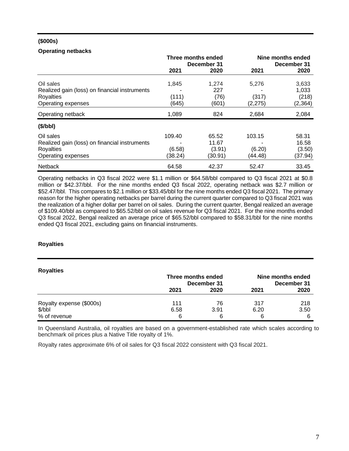## **(\$000s)**

## **Operating netbacks**

|                                               | Three months ended<br>December 31 |         | Nine months ended<br>December 31 |          |
|-----------------------------------------------|-----------------------------------|---------|----------------------------------|----------|
|                                               | 2021                              | 2020    | 2021                             | 2020     |
| Oil sales                                     | 1,845                             | 1.274   | 5,276                            | 3,633    |
| Realized gain (loss) on financial instruments |                                   | 227     |                                  | 1,033    |
| Royalties                                     | (111)                             | (76)    | (317)                            | (218)    |
| Operating expenses                            | (645)                             | (601)   | (2, 275)                         | (2, 364) |
| Operating netback                             | 1,089                             | 824     | 2,684                            | 2,084    |
| (\$/bbl)                                      |                                   |         |                                  |          |
| Oil sales                                     | 109.40                            | 65.52   | 103.15                           | 58.31    |
| Realized gain (loss) on financial instruments |                                   | 11.67   |                                  | 16.58    |
| Royalties                                     | (6.58)                            | (3.91)  | (6.20)                           | (3.50)   |
| Operating expenses                            | (38.24)                           | (30.91) | (44.48)                          | (37.94)  |
| <b>Netback</b>                                | 64.58                             | 42.37   | 52.47                            | 33.45    |

Operating netbacks in Q3 fiscal 2022 were \$1.1 million or \$64.58/bbl compared to Q3 fiscal 2021 at \$0.8 million or \$42.37/bbl. For the nine months ended Q3 fiscal 2022, operating netback was \$2.7 million or \$52.47/bbl. This compares to \$2.1 million or \$33.45/bbl for the nine months ended Q3 fiscal 2021. The primary reason for the higher operating netbacks per barrel during the current quarter compared to Q3 fiscal 2021 was the realization of a higher dollar per barrel on oil sales. During the current quarter, Bengal realized an average of \$109.40/bbl as compared to \$65.52/bbl on oil sales revenue for Q3 fiscal 2021. For the nine months ended Q3 fiscal 2022, Bengal realized an average price of \$65.52/bbl compared to \$58.31/bbl for the nine months ended Q3 fiscal 2021, excluding gains on financial instruments.

## **Royalties**

| <b>Royalties</b>         | Three months ended<br>December 31 |      | Nine months ended<br>December 31 |      |
|--------------------------|-----------------------------------|------|----------------------------------|------|
|                          | 2021                              | 2020 | 2021                             | 2020 |
| Royalty expense (\$000s) | 111                               | 76   | 317                              | 218  |
| \$/bbl                   | 6.58                              | 3.91 | 6.20                             | 3.50 |
| % of revenue             | 6                                 | 6    | 6                                | 6    |

In Queensland Australia, oil royalties are based on a government-established rate which scales according to benchmark oil prices plus a Native Title royalty of 1%.

Royalty rates approximate 6% of oil sales for Q3 fiscal 2022 consistent with Q3 fiscal 2021.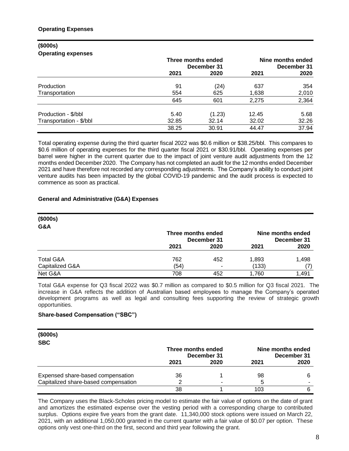### **(\$000s) Operating expenses**

|                         | Three months ended<br>December 31 |        | Nine months ended<br>December 31 |       |
|-------------------------|-----------------------------------|--------|----------------------------------|-------|
|                         | 2021                              | 2020   | 2021                             | 2020  |
| Production              | 91                                | (24)   | 637                              | 354   |
| Transportation          | 554                               | 625    | 1,638                            | 2,010 |
|                         | 645                               | 601    | 2,275                            | 2,364 |
| Production - \$/bbl     | 5.40                              | (1.23) | 12.45                            | 5.68  |
| Transportation - \$/bbl | 32.85                             | 32.14  | 32.02                            | 32.26 |
|                         | 38.25                             | 30.91  | 44.47                            | 37.94 |

Total operating expense during the third quarter fiscal 2022 was \$0.6 million or \$38.25/bbl. This compares to \$0.6 million of operating expenses for the third quarter fiscal 2021 or \$30.91/bbl. Operating expenses per barrel were higher in the current quarter due to the impact of joint venture audit adjustments from the 12 months ended December 2020. The Company has not completed an audit for the 12 months ended December 2021 and have therefore not recorded any corresponding adjustments. The Company's ability to conduct joint venture audits has been impacted by the global COVID-19 pandemic and the audit process is expected to commence as soon as practical.

## **General and Administrative (G&A) Expenses**

| (\$000s)             |                    |             |       |                                  |
|----------------------|--------------------|-------------|-------|----------------------------------|
| G&A                  |                    |             |       |                                  |
|                      | Three months ended | December 31 |       | Nine months ended<br>December 31 |
|                      | 2021               | 2020        | 2021  | 2020                             |
| <b>Total G&amp;A</b> | 762                | 452         | 1,893 | 1,498                            |
| Capitalized G&A      | (54)               | ۰           | (133) | $\overline{L}$                   |
| Net G&A              | 708                | 452         | 1,760 | 1,491                            |

Total G&A expense for Q3 fiscal 2022 was \$0.7 million as compared to \$0.5 million for Q3 fiscal 2021. The increase in G&A reflects the addition of Australian based employees to manage the Company's operated development programs as well as legal and consulting fees supporting the review of strategic growth opportunities.

### **Share-based Compensation ("SBC")**

| (\$000s)<br><b>SBC</b>               |                    |             |                                  |      |
|--------------------------------------|--------------------|-------------|----------------------------------|------|
|                                      | Three months ended | December 31 | Nine months ended<br>December 31 |      |
|                                      | 2021               | 2020        | 2021                             | 2020 |
| Expensed share-based compensation    | 36                 |             | 98                               |      |
| Capitalized share-based compensation |                    |             | 5                                |      |
|                                      | 38                 |             | 103                              |      |

The Company uses the Black-Scholes pricing model to estimate the fair value of options on the date of grant and amortizes the estimated expense over the vesting period with a corresponding charge to contributed surplus. Options expire five years from the grant date. 11,340,000 stock options were issued on March 22, 2021, with an additional 1,050,000 granted in the current quarter with a fair value of \$0.07 per option. These options only vest one-third on the first, second and third year following the grant.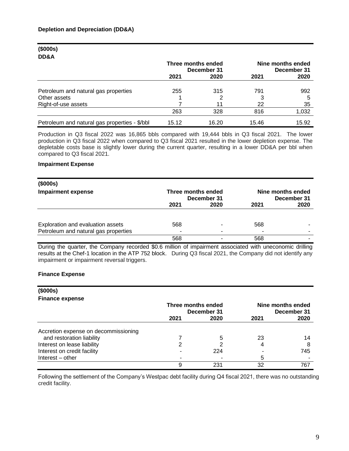## **(\$000s) DD&A**

|                                               | Three months ended<br>December 31 |       | Nine months ended<br>December 31 |       |
|-----------------------------------------------|-----------------------------------|-------|----------------------------------|-------|
|                                               | 2021                              | 2020  | 2021                             | 2020  |
| Petroleum and natural gas properties          | 255                               | 315   | 791                              | 992   |
| Other assets                                  |                                   |       |                                  | 5     |
| Right-of-use assets                           |                                   |       | 22                               | 35    |
|                                               | 263                               | 328   | 816                              | 1,032 |
| Petroleum and natural gas properties - \$/bbl | 15.12                             | 16.20 | 15.46                            | 15.92 |

Production in Q3 fiscal 2022 was 16,865 bbls compared with 19,444 bbls in Q3 fiscal 2021. The lower production in Q3 fiscal 2022 when compared to Q3 fiscal 2021 resulted in the lower depletion expense. The depletable costs base is slightly lower during the current quarter, resulting in a lower DD&A per bbl when compared to Q3 fiscal 2021.

### **Impairment Expense**

| (\$000s)                             |                                   |      |                                  |      |
|--------------------------------------|-----------------------------------|------|----------------------------------|------|
| <b>Impairment expense</b>            | Three months ended<br>December 31 |      | Nine months ended<br>December 31 |      |
|                                      | 2021                              | 2020 | 2021                             | 2020 |
|                                      |                                   |      |                                  |      |
| Exploration and evaluation assets    | 568                               |      | 568                              |      |
| Petroleum and natural gas properties | $\overline{\phantom{0}}$          |      |                                  | -    |
|                                      | 568                               |      | 568                              |      |

During the quarter, the Company recorded \$0.6 million of impairment associated with uneconomic drilling results at the Chef-1 location in the ATP 752 block. During Q3 fiscal 2021, the Company did not identify any impairment or impairment reversal triggers.

## **Finance Expense**

| (\$000s)                             |                    |             |      |                   |
|--------------------------------------|--------------------|-------------|------|-------------------|
| <b>Finance expense</b>               |                    |             |      |                   |
|                                      | Three months ended |             |      | Nine months ended |
|                                      |                    | December 31 |      | December 31       |
|                                      | 2021               | 2020        | 2021 | 2020              |
| Accretion expense on decommissioning |                    |             |      |                   |
| and restoration liability            |                    | 5           | 23   | 14                |
| Interest on lease liability          | 2                  |             | 4    |                   |
| Interest on credit facility          |                    | 224         |      | 745               |
| Interest – other                     |                    |             | 5    |                   |
|                                      | 9                  | 231         | 32   | 767               |

Following the settlement of the Company's Westpac debt facility during Q4 fiscal 2021, there was no outstanding credit facility.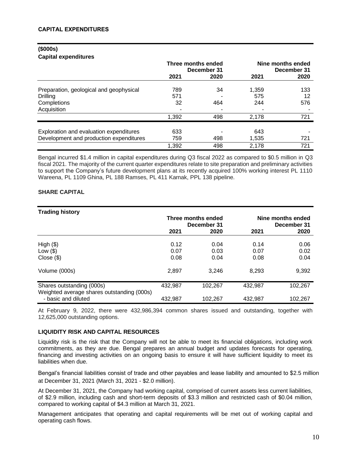# **(\$000s)**

## **Capital expenditures**

|                                         | Three months ended | December 31 | Nine months ended<br>December 31 |      |  |
|-----------------------------------------|--------------------|-------------|----------------------------------|------|--|
|                                         | 2021               | 2020        | 2021                             | 2020 |  |
| Preparation, geological and geophysical | 789                | 34          | 1,359                            | 133  |  |
| Drilling                                | 571                |             | 575                              | 12   |  |
| Completions                             | 32                 | 464         | 244                              | 576  |  |
| Acquisition                             |                    |             |                                  |      |  |
|                                         | 1,392              | 498         | 2,178                            | 721  |  |
| Exploration and evaluation expenditures | 633                |             | 643                              |      |  |
| Development and production expenditures | 759                | 498         | 1,535                            | 721  |  |
|                                         | 1,392              | 498         | 2,178                            | 721  |  |

Bengal incurred \$1.4 million in capital expenditures during Q3 fiscal 2022 as compared to \$0.5 million in Q3 fiscal 2021. The majority of the current quarter expenditures relate to site preparation and preliminary activities to support the Company's future development plans at its recently acquired 100% working interest PL 1110 Wareena, PL 1109 Ghina, PL 188 Ramses, PL 411 Karnak, PPL 138 pipeline.

## **SHARE CAPITAL**

| <b>Trading history</b>                                            |         |                    |         |                   |  |  |  |  |  |
|-------------------------------------------------------------------|---------|--------------------|---------|-------------------|--|--|--|--|--|
|                                                                   |         | Three months ended |         | Nine months ended |  |  |  |  |  |
|                                                                   |         | December 31        |         | December 31       |  |  |  |  |  |
|                                                                   | 2021    | 2020               | 2021    | 2020              |  |  |  |  |  |
| High $(\$)$                                                       | 0.12    | 0.04               | 0.14    | 0.06              |  |  |  |  |  |
| Low $(\$)$                                                        | 0.07    | 0.03               | 0.07    | 0.02              |  |  |  |  |  |
| Close ( \$)                                                       | 0.08    | 0.04               | 0.08    | 0.04              |  |  |  |  |  |
| Volume (000s)                                                     | 2,897   | 3,246              | 8,293   | 9,392             |  |  |  |  |  |
| Shares outstanding (000s)                                         | 432,987 | 102.267            | 432,987 | 102,267           |  |  |  |  |  |
| Weighted average shares outstanding (000s)<br>- basic and diluted | 432,987 | 102,267            | 432,987 | 102,267           |  |  |  |  |  |

At February 9, 2022, there were 432,986,394 common shares issued and outstanding, together with 12,625,000 outstanding options.

## **LIQUIDITY RISK AND CAPITAL RESOURCES**

Liquidity risk is the risk that the Company will not be able to meet its financial obligations, including work commitments, as they are due. Bengal prepares an annual budget and updates forecasts for operating, financing and investing activities on an ongoing basis to ensure it will have sufficient liquidity to meet its liabilities when due.

Bengal's financial liabilities consist of trade and other payables and lease liability and amounted to \$2.5 million at December 31, 2021 (March 31, 2021 - \$2.0 million).

At December 31, 2021, the Company had working capital, comprised of current assets less current liabilities, of \$2.9 million, including cash and short-term deposits of \$3.3 million and restricted cash of \$0.04 million, compared to working capital of \$4.3 million at March 31, 2021.

Management anticipates that operating and capital requirements will be met out of working capital and operating cash flows.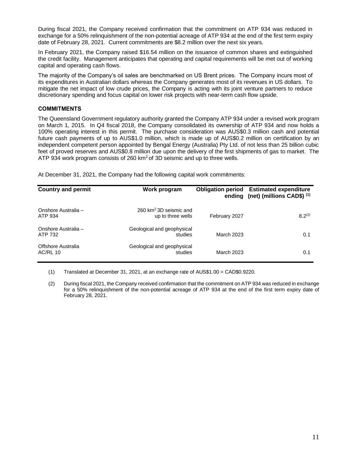During fiscal 2021, the Company received confirmation that the commitment on ATP 934 was reduced in exchange for a 50% relinquishment of the non-potential acreage of ATP 934 at the end of the first term expiry date of February 28, 2021. Current commitments are \$8.2 million over the next six years.

In February 2021, the Company raised \$16.54 million on the issuance of common shares and extinguished the credit facility. Management anticipates that operating and capital requirements will be met out of working capital and operating cash flows.

The majority of the Company's oil sales are benchmarked on US Brent prices. The Company incurs most of its expenditures in Australian dollars whereas the Company generates most of its revenues in US dollars. To mitigate the net impact of low crude prices, the Company is acting with its joint venture partners to reduce discretionary spending and focus capital on lower risk projects with near-term cash flow upside.

## **COMMITMENTS**

The Queensland Government regulatory authority granted the Company ATP 934 under a revised work program on March 1, 2015. In Q4 fiscal 2018, the Company consolidated its ownership of ATP 934 and now holds a 100% operating interest in this permit. The purchase consideration was AUS\$0.3 million cash and potential future cash payments of up to AUS\$1.0 million, which is made up of AUS\$0.2 million on certification by an independent competent person appointed by Bengal Energy (Australia) Pty Ltd. of not less than 25 billion cubic feet of proved reserves and AUS\$0.8 million due upon the delivery of the first shipments of gas to market. The ATP 934 work program consists of 260  $km<sup>2</sup>$  of 3D seismic and up to three wells.

At December 31, 2021, the Company had the following capital work commitments:

| <b>Country and permit</b>             | Work program                                   |               | <b>Obligation period Estimated expenditure</b><br>ending (net) (millions CAD\$) <sup>(1)</sup> |
|---------------------------------------|------------------------------------------------|---------------|------------------------------------------------------------------------------------------------|
| Onshore Australia -<br>ATP 934        | 260 $km^2$ 3D seismic and<br>up to three wells | February 2027 | $8.2^{(2)}$                                                                                    |
| Onshore Australia -<br>ATP 732        | Geological and geophysical<br>studies          | March 2023    | 0.1                                                                                            |
| Offshore Australia<br><b>AC/RL 10</b> | Geological and geophysical<br>studies          | March 2023    | 0.1                                                                                            |

(1) Translated at December 31, 2021, at an exchange rate of AUS\$1.00 = CAD\$0.9220.

(2) During fiscal 2021, the Company received confirmation that the commitment on ATP 934 was reduced in exchange for a 50% relinquishment of the non-potential acreage of ATP 934 at the end of the first term expiry date of February 28, 2021.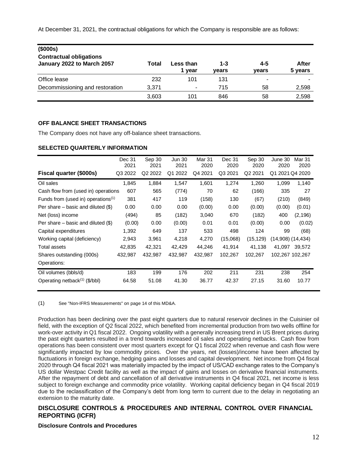At December 31, 2021, the contractual obligations for which the Company is responsible are as follows:

| (\$000s)                                                     |       |                   |                  |                  |                  |
|--------------------------------------------------------------|-------|-------------------|------------------|------------------|------------------|
| <b>Contractual obligations</b><br>January 2022 to March 2057 | Total | Less than<br>vear | $1 - 3$<br>vears | $4 - 5$<br>vears | After<br>5 years |
| Office lease                                                 | 232   | 101               | 131              |                  |                  |
| Decommissioning and restoration                              | 3.371 | ۰                 | 715              | 58               | 2,598            |
|                                                              | 3,603 | 101               | 846              | 58               | 2,598            |

### **OFF BALANCE SHEET TRANSACTIONS**

The Company does not have any off-balance sheet transactions.

### **SELECTED QUARTERLY INFORMATION**

|                                           | Dec 31<br>2021 | Sep 30<br>2021      | <b>Jun 30</b><br>2021 | Mar 31<br>2020 | Dec 31<br>2020 | Sep 30<br>2020      | June 30<br>2020 | Mar 31<br>2020        |
|-------------------------------------------|----------------|---------------------|-----------------------|----------------|----------------|---------------------|-----------------|-----------------------|
| Fiscal quarter (\$000s)                   | Q3 2022        | Q <sub>2</sub> 2022 | 2022<br>Q1            | Q4 2021        | Q3 2021        | Q <sub>2</sub> 2021 | Q1              | 2021 Q4 2020          |
| Oil sales                                 | 1,845          | 1,884               | 1,547                 | 1,601          | 1,274          | 1,260               | 1,099           | 1,140                 |
| Cash flow from (used in) operations       | 607            | 565                 | (774)                 | 70             | 62             | (166)               | 335             | 27                    |
| Funds from (used in) operations $(1)$     | 381            | 417                 | 119                   | (158)          | 130            | (67)                | (210)           | (849)                 |
| Per share $-$ basic and diluted $(\$)$    | 0.00           | 0.00                | 0.00                  | (0.00)         | 0.00           | (0.00)              | (0.00)          | (0.01)                |
| Net (loss) income                         | (494)          | 85                  | (182)                 | 3,040          | 670            | (182)               | 400             | (2, 196)              |
| Per share $-$ basic and diluted $(\$)$    | (0.00)         | 0.00                | (0.00)                | 0.01           | 0.01           | (0.00)              | 0.00            | (0.02)                |
| Capital expenditures                      | 1,392          | 649                 | 137                   | 533            | 498            | 124                 | 99              | (68)                  |
| Working capital (deficiency)              | 2,943          | 3,961               | 4,218                 | 4,270          | (15,068)       | (15, 129)           |                 | $(14,908)$ $(14,434)$ |
| Total assets                              | 42,835         | 42,321              | 42,429                | 44,246         | 41,914         | 41,138              | 41,097          | 39,572                |
| Shares outstanding (000s)                 | 432,987        | 432,987             | 432,987               | 432,987        | 102,267        | 102,267             |                 | 102,267 102,267       |
| Operations:                               |                |                     |                       |                |                |                     |                 |                       |
| Oil volumes (bbls/d)                      | 183            | 199                 | 176                   | 202            | 211            | 231                 | 238             | 254                   |
| Operating netback <sup>(1)</sup> (\$/bbl) | 64.58          | 51.08               | 41.30                 | 36.77          | 42.37          | 27.15               | 31.60           | 10.77                 |

(1) See "Non-IFRS Measurements" on page 14 of this MD&A.

Production has been declining over the past eight quarters due to natural reservoir declines in the Cuisinier oil field, with the exception of Q2 fiscal 2022, which benefited from incremental production from two wells offline for work-over activity in Q1 fiscal 2022. Ongoing volatility with a generally increasing trend in US Brent prices during the past eight quarters resulted in a trend towards increased oil sales and operating netbacks. Cash flow from operations has been consistent over most quarters except for Q1 fiscal 2022 when revenue and cash flow were significantly impacted by low commodity prices. Over the years, net (losses)/income have been affected by fluctuations in foreign exchange, hedging gains and losses and capital development. Net income from Q4 fiscal 2020 through Q4 fiscal 2021 was materially impacted by the impact of US/CAD exchange rates to the Company's US dollar Westpac Credit facility as well as the impact of gains and losses on derivative financial instruments. After the repayment of debt and cancellation of all derivative instruments in Q4 fiscal 2021, net income is less subject to foreign exchange and commodity price volatility. Working capital deficiency began in Q4 fiscal 2019 due to the reclassification of the Company's debt from long term to current due to the delay in negotiating an extension to the maturity date.

# **DISCLOSURE CONTROLS & PROCEDURES AND INTERNAL CONTROL OVER FINANCIAL REPORTING (ICFR)**

## **Disclosure Controls and Procedures**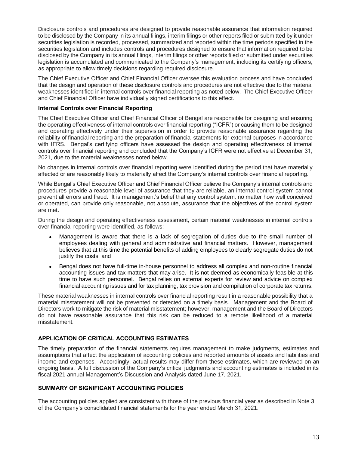Disclosure controls and procedures are designed to provide reasonable assurance that information required to be disclosed by the Company in its annual filings, interim filings or other reports filed or submitted by it under securities legislation is recorded, processed, summarized and reported within the time periods specified in the securities legislation and includes controls and procedures designed to ensure that information required to be disclosed by the Company in its annual filings, interim filings or other reports filed or submitted under securities legislation is accumulated and communicated to the Company's management, including its certifying officers, as appropriate to allow timely decisions regarding required disclosure.

The Chief Executive Officer and Chief Financial Officer oversee this evaluation process and have concluded that the design and operation of these disclosure controls and procedures are not effective due to the material weaknesses identified in internal controls over financial reporting as noted below. The Chief Executive Officer and Chief Financial Officer have individually signed certifications to this effect.

### **Internal Controls over Financial Reporting**

The Chief Executive Officer and Chief Financial Officer of Bengal are responsible for designing and ensuring the operating effectiveness of internal controls over financial reporting ("ICFR") or causing them to be designed and operating effectively under their supervision in order to provide reasonable assurance regarding the reliability of financial reporting and the preparation of financial statements for external purposes in accordance with IFRS. Bengal's certifying officers have assessed the design and operating effectiveness of internal controls over financial reporting and concluded that the Company's ICFR were not effective at December 31, 2021, due to the material weaknesses noted below.

No changes in internal controls over financial reporting were identified during the period that have materially affected or are reasonably likely to materially affect the Company's internal controls over financial reporting.

While Bengal's Chief Executive Officer and Chief Financial Officer believe the Company's internal controls and procedures provide a reasonable level of assurance that they are reliable, an internal control system cannot prevent all errors and fraud. It is management's belief that any control system, no matter how well conceived or operated, can provide only reasonable, not absolute, assurance that the objectives of the control system are met.

During the design and operating effectiveness assessment, certain material weaknesses in internal controls over financial reporting were identified, as follows:

- Management is aware that there is a lack of segregation of duties due to the small number of employees dealing with general and administrative and financial matters. However, management believes that at this time the potential benefits of adding employees to clearly segregate duties do not justify the costs; and
- Bengal does not have full-time in-house personnel to address all complex and non-routine financial accounting issues and tax matters that may arise. It is not deemed as economically feasible at this time to have such personnel. Bengal relies on external experts for review and advice on complex financial accounting issues and for tax planning, tax provision and compilation of corporate tax returns.

These material weaknesses in internal controls over financial reporting result in a reasonable possibility that a material misstatement will not be prevented or detected on a timely basis. Management and the Board of Directors work to mitigate the risk of material misstatement; however, management and the Board of Directors do not have reasonable assurance that this risk can be reduced to a remote likelihood of a material misstatement.

## **APPLICATION OF CRITICAL ACCOUNTING ESTIMATES**

The timely preparation of the financial statements requires management to make judgments, estimates and assumptions that affect the application of accounting policies and reported amounts of assets and liabilities and income and expenses. Accordingly, actual results may differ from these estimates, which are reviewed on an ongoing basis. A full discussion of the Company's critical judgments and accounting estimates is included in its fiscal 2021 annual Management's Discussion and Analysis dated June 17, 2021.

## **SUMMARY OF SIGNIFICANT ACCOUNTING POLICIES**

The accounting policies applied are consistent with those of the previous financial year as described in Note 3 of the Company's consolidated financial statements for the year ended March 31, 2021.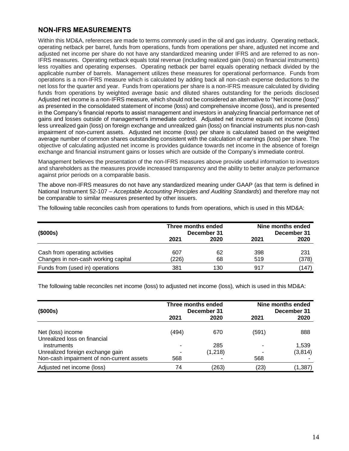# **NON-IFRS MEASUREMENTS**

Within this MD&A, references are made to terms commonly used in the oil and gas industry. Operating netback, operating netback per barrel, funds from operations, funds from operations per share, adjusted net income and adjusted net income per share do not have any standardized meaning under IFRS and are referred to as non-IFRS measures. Operating netback equals total revenue (including realized gain (loss) on financial instruments) less royalties and operating expenses. Operating netback per barrel equals operating netback divided by the applicable number of barrels. Management utilizes these measures for operational performance. Funds from operations is a non-IFRS measure which is calculated by adding back all non-cash expense deductions to the net loss for the quarter and year. Funds from operations per share is a non-IFRS measure calculated by dividing funds from operations by weighted average basic and diluted shares outstanding for the periods disclosed Adjusted net income is a non-IFRS measure, which should not be considered an alternative to "Net income (loss)" as presented in the consolidated statement of income (loss) and comprehensive income (loss), and is presented in the Company's financial reports to assist management and investors in analyzing financial performance net of gains and losses outside of management's immediate control. Adjusted net income equals net income (loss) less unrealized gain (loss) on foreign exchange and unrealized gain (loss) on financial instruments plus non-cash impairment of non-current assets. Adjusted net income (loss) per share is calculated based on the weighted average number of common shares outstanding consistent with the calculation of earnings (loss) per share. The objective of calculating adjusted net income is provides guidance towards net income in the absence of foreign exchange and financial instrument gains or losses which are outside of the Company's immediate control.

Management believes the presentation of the non-IFRS measures above provide useful information to investors and shareholders as the measures provide increased transparency and the ability to better analyze performance against prior periods on a comparable basis.

The above non-IFRS measures do not have any standardized meaning under GAAP (as that term is defined in National Instrument 52-107 – *Acceptable Accounting Principles and Auditing Standards*) and therefore may not be comparable to similar measures presented by other issuers.

The following table reconciles cash from operations to funds from operations, which is used in this MD&A:

| (\$000s)                                                              | Three months ended | December 31 | Nine months ended<br>December 31 |              |  |
|-----------------------------------------------------------------------|--------------------|-------------|----------------------------------|--------------|--|
|                                                                       | 2021               | 2020        | 2021                             | 2020         |  |
| Cash from operating activities<br>Changes in non-cash working capital | 607<br>(226)       | 62<br>68    | 398<br>519                       | 231<br>(378) |  |
| Funds from (used in) operations                                       | 381                | 130         | 917                              | (147)        |  |

The following table reconciles net income (loss) to adjusted net income (loss), which is used in this MD&A:

| (\$000s)                                    |       | Three months ended<br>December 31 | Nine months ended<br>December 31 |          |  |
|---------------------------------------------|-------|-----------------------------------|----------------------------------|----------|--|
|                                             | 2021  | 2020                              | 2021                             | 2020     |  |
| Net (loss) income                           | (494) | 670                               | (591)                            | 888      |  |
| Unrealized loss on financial<br>instruments |       | 285                               |                                  | 1,539    |  |
| Unrealized foreign exchange gain            |       | (1,218)                           |                                  | (3, 814) |  |
| Non-cash impairment of non-current assets   | 568   |                                   | 568                              |          |  |
| Adjusted net income (loss)                  | 74    | (263)                             | (23)                             | (1, 387) |  |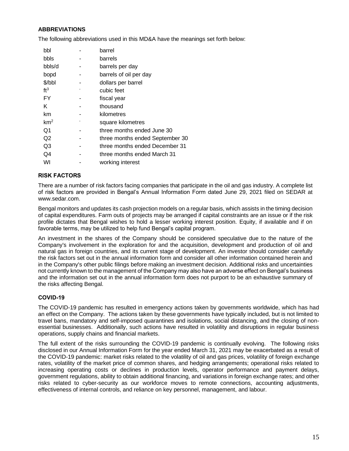## **ABBREVIATIONS**

The following abbreviations used in this MD&A have the meanings set forth below:

| barrel                          |
|---------------------------------|
| barrels                         |
| barrels per day                 |
| barrels of oil per day          |
| dollars per barrel              |
| cubic feet                      |
| fiscal year                     |
| thousand                        |
| kilometres                      |
| square kilometres               |
| three months ended June 30      |
| three months ended September 30 |
| three months ended December 31  |
| three months ended March 31     |
| working interest                |
|                                 |

## **RISK FACTORS**

There are a number of risk factors facing companies that participate in the oil and gas industry. A complete list of risk factors are provided in Bengal's Annual Information Form dated June 29, 2021 filed on SEDAR at www.sedar.com.

Bengal monitors and updates its cash projection models on a regular basis, which assists in the timing decision of capital expenditures. Farm outs of projects may be arranged if capital constraints are an issue or if the risk profile dictates that Bengal wishes to hold a lesser working interest position. Equity, if available and if on favorable terms, may be utilized to help fund Bengal's capital program.

An investment in the shares of the Company should be considered speculative due to the nature of the Company's involvement in the exploration for and the acquisition, development and production of oil and natural gas in foreign countries, and its current stage of development. An investor should consider carefully the risk factors set out in the annual information form and consider all other information contained herein and in the Company's other public filings before making an investment decision. Additional risks and uncertainties not currently known to the management of the Company may also have an adverse effect on Bengal's business and the information set out in the annual information form does not purport to be an exhaustive summary of the risks affecting Bengal.

## **COVID-19**

The COVID-19 pandemic has resulted in emergency actions taken by governments worldwide, which has had an effect on the Company. The actions taken by these governments have typically included, but is not limited to travel bans, mandatory and self-imposed quarantines and isolations, social distancing, and the closing of nonessential businesses. Additionally, such actions have resulted in volatility and disruptions in regular business operations, supply chains and financial markets.

The full extent of the risks surrounding the COVID-19 pandemic is continually evolving. The following risks disclosed in our Annual Information Form for the year ended March 31, 2021 may be exacerbated as a result of the COVID-19 pandemic: market risks related to the volatility of oil and gas prices, volatility of foreign exchange rates, volatility of the market price of common shares, and hedging arrangements; operational risks related to increasing operating costs or declines in production levels, operator performance and payment delays, government regulations, ability to obtain additional financing, and variations in foreign exchange rates; and other risks related to cyber-security as our workforce moves to remote connections, accounting adjustments, effectiveness of internal controls, and reliance on key personnel, management, and labour.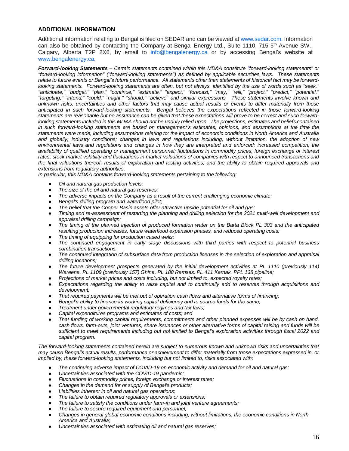### **ADDITIONAL INFORMATION**

Additional information relating to Bengal is filed on SEDAR and can be viewed at www.sedar.com. Information can also be obtained by contacting the Company at Bengal Energy Ltd., Suite 1110, 715 5<sup>th</sup> Avenue SW., Calgary, Alberta T2P 2X6, by email to info@bengalenergy.ca or by accessing Bengal's website at www.bengalenergy.ca.

*Forward-looking Statements – Certain statements contained within this MD&A constitute "forward-looking statements" or "forward-looking information" ("forward-looking statements") as defined by applicable securities laws. These statements relate to future events or Bengal's future performance. All statements other than statements of historical fact may be forwardlooking statements. Forward-looking statements are often, but not always, identified by the use of words such as "seek," "anticipate," "budget," "plan," "continue," "estimate," "expect," "forecast," "may," "will," "project," "predict," "potential," "targeting," "intend," "could," "might," "should," "believe" and similar expressions. These statements involve known and unknown risks, uncertainties and other factors that may cause actual results or events to differ materially from those*  anticipated in such forward-looking statements. Bengal believes the expectations reflected in those forward-looking *statements are reasonable but no assurance can be given that these expectations will prove to be correct and such forwardlooking statements included in this MD&A should not be unduly relied upon. The projections, estimates and beliefs contained* in such forward-looking statements are based on management's estimates, opinions, and assumptions at the time the *statements were made, including assumptions relating to: the impact of economic conditions in North America and Australia and globally; industry conditions; changes in laws and regulations including, without limitation, the adoption of new environmental laws and regulations and changes in how they are interpreted and enforced; increased competition; the availability of qualified operating or management personnel; fluctuations in commodity prices, foreign exchange or interest rates; stock market volatility and fluctuations in market valuations of companies with respect to announced transactions and the final valuations thereof; results of exploration and testing activities; and the ability to obtain required approvals and extensions from regulatory authorities.* 

*In particular, this MD&A contains forward-looking statements pertaining to the following:* 

- *Oil and natural gas production levels;*
- *The size of the oil and natural gas reserves;*
- The adverse impacts on the Company as a result of the current challenging economic climate;
- Bengal's drilling program and waterflood pilot;
- *The belief that the Cooper Basin assets offer attractive upside potential for oil and gas;*
- *Timing and re-assessment of restarting the planning and drilling selection for the 2021 multi-well development and appraisal drilling campaign:*
- The timing of the planned injection of produced formation water on the Barta Block PL 303 and the anticipated *resulting production increases, future waterflood expansion phases, and reduced operating costs;*
- The timing of equipping for production cased wells;
- *The continued engagement in early stage discussions with third parties with respect to potential business combination transactions;*
- *The continued integration of subsurface data from production licenses in the selection of exploration and appraisal drilling locations;*
- The future development prospects generated by the initial development activities at PL 1110 (previously 114) *Wareena, PL 1109 (previously 157) Ghina, PL 188 Ramses, PL 411 Karnak, PPL 138 pipeline;*
- *Projections of market prices and costs including, but not limited to, expected royalty rates;*
- Expectations regarding the ability to raise capital and to continually add to reserves through acquisitions and *development;*
- *That required payments will be met out of operation cash flows and alternative forms of financing;*
- Bengal's ability to finance its working capital deficiency and to source funds for the same;
- *Treatment under governmental regulatory regimes and tax laws;*
- Capital expenditures programs and estimates of costs; and
- *That funding of working capital requirements, commitments and other planned expenses will be by cash on hand, cash flows, farm-outs, joint ventures, share issuances or other alternative forms of capital raising and funds will be sufficient to meet requirements including but not limited to Bengal's exploration activities through fiscal 2022 and capital program.*

*The forward-looking statements contained herein are subject to numerous known and unknown risks and uncertainties that may cause Bengal's actual results, performance or achievement to differ materially from those expectations expressed in, or implied by, these forward-looking statements, including but not limited to, risks associated with:* 

- *The continuing adverse impact of COVID-19 on economic activity and demand for oil and natural gas;*
- *Uncertainties associated with the COVID-19 pandemic;*
- *Fluctuations in commodity prices, foreign exchange or interest rates;*
- *Changes in the demand for or supply of Bengal's products;*
- Liabilities inherent in oil and natural gas operations;
- *The failure to obtain required regulatory approvals or extensions;*
- The failure to satisfy the conditions under farm-in and joint venture agreements;
- *The failure to secure required equipment and personnel;*
- *Changes in general global economic conditions including, without limitations, the economic conditions in North America and Australia;*
- *Uncertainties associated with estimating oil and natural gas reserves;*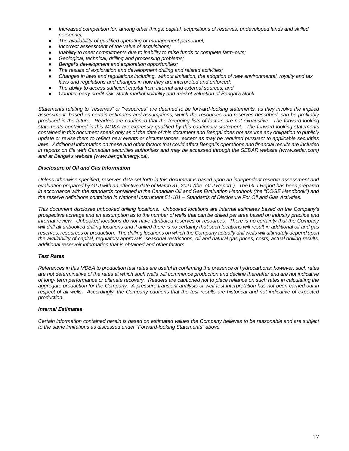- *Increased competition for, among other things: capital, acquisitions of reserves, undeveloped lands and skilled personnel;*
- The availability of qualified operating or management personnel;
- *Incorrect assessment of the value of acquisitions;*
- *Inability to meet commitments due to inability to raise funds or complete farm-outs;*
- Geological, technical, drilling and processing problems;
- Bengal's development and exploration opportunities;
- *The results of exploration and development drilling and related activities;*
- *Changes in laws and regulations including, without limitation, the adoption of new environmental, royalty and tax laws and regulations and changes in how they are interpreted and enforced;*
- *The ability to access sufficient capital from internal and external sources; and*
- Counter-party credit risk, stock market volatility and market valuation of Bengal's stock.

*Statements relating to "reserves" or "resources" are deemed to be forward-looking statements, as they involve the implied assessment, based on certain estimates and assumptions, which the resources and reserves described, can be profitably produced in the future. Readers are cautioned that the foregoing lists of factors are not exhaustive. The forward-looking statements contained in this MD&A are expressly qualified by this cautionary statement. The forward-looking statements contained in this document speak only as of the date of this document and Bengal does not assume any obligation to publicly update or revise them to reflect new events or circumstances, except as may be required pursuant to applicable securities laws. Additional information on these and other factors that could affect Bengal's operations and financial results are included*  in reports on file with Canadian securities authorities and may be accessed through the SEDAR website (www.sedar.com) *and at Bengal's website (www.bengalenergy.ca).*

#### *Disclosure of Oil and Gas Information*

*Unless otherwise specified, reserves data set forth in this document is based upon an independent reserve assessment and evaluation prepared by GLJ with an effective date of March 31, 2021 (the "GLJ Report"). The GLJ Report has been prepared*  in accordance with the standards contained in the Canadian Oil and Gas Evaluation Handbook (the "COGE Handbook") and *the reserve definitions contained in National Instrument 51-101 – Standards of Disclosure For Oil and Gas Activities.*

*This document discloses unbooked drilling locations. Unbooked locations are internal estimates based on the Company's prospective acreage and an assumption as to the number of wells that can be drilled per area based on industry practice and internal review. Unbooked locations do not have attributed reserves or resources. There is no certainty that the Company*  will drill all unbooked drilling locations and if drilled there is no certainty that such locations will result in additional oil and gas reserves, resources or production. The drilling locations on which the Company actually drill wells will ultimately depend upon *the availability of capital, regulatory approvals, seasonal restrictions, oil and natural gas prices, costs, actual drilling results, additional reservoir information that is obtained and other factors.*

#### *Test Rates*

*References in this MD&A to production test rates are useful in confirming the presence of hydrocarbons; however, such rates are not determinative of the rates at which such wells will commence production and decline thereafter and are not indicative of long- term performance or ultimate recovery. Readers are cautioned not to place reliance on such rates in calculating the aggregate production for the Company. A pressure transient analysis or well-test interpretation has not been carried out in respect of all wells. Accordingly, the Company cautions that the test results are historical and not indicative of expected production.*

#### *Internal Estimates*

*Certain information contained herein is based on estimated values the Company believes to be reasonable and are subject to the same limitations as discussed under "Forward-looking Statements" above.*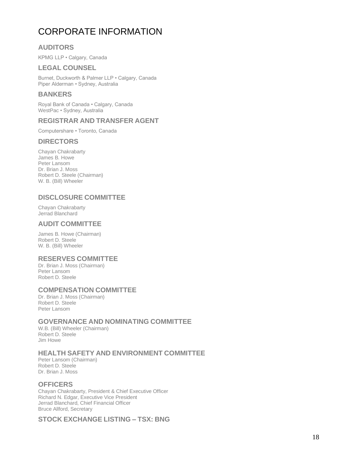# CORPORATE INFORMATION

# **AUDITORS**

KPMG LLP • Calgary, Canada

# **LEGAL COUNSEL**

Burnet, Duckworth & Palmer LLP • Calgary, Canada Piper Alderman • Sydney, Australia

# **BANKERS**

Royal Bank of Canada • Calgary, Canada WestPac • Sydney, Australia

# **REGISTRAR AND TRANSFER AGENT**

Computershare • Toronto, Canada

# **DIRECTORS**

Chayan Chakrabarty James B. Howe Peter Lansom Dr. Brian J. Moss Robert D. Steele (Chairman) W. B. (Bill) Wheeler

# **DISCLOSURE COMMITTEE**

Chayan Chakrabarty Jerrad Blanchard

# **AUDIT COMMITTEE**

James B. Howe (Chairman) Robert D. Steele W. B. (Bill) Wheeler

# **RESERVES COMMITTEE**

Dr. Brian J. Moss (Chairman) Peter Lansom Robert D. Steele

# **COMPENSATION COMMITTEE**

Dr. Brian J. Moss (Chairman) Robert D. Steele Peter Lansom

# **GOVERNANCE AND NOMINATING COMMITTEE**

W.B. (Bill) Wheeler (Chairman) Robert D. Steele Jim Howe

# **HEALTH SAFETY AND ENVIRONMENT COMMITTEE**

Peter Lansom (Chairman) Robert D. Steele Dr. Brian J. Moss

# **OFFICERS**

Chayan Chakrabarty, President & Chief Executive Officer Richard N. Edgar, Executive Vice President Jerrad Blanchard, Chief Financial Officer Bruce Allford, Secretary

# **STOCK EXCHANGE LISTING – TSX: BNG**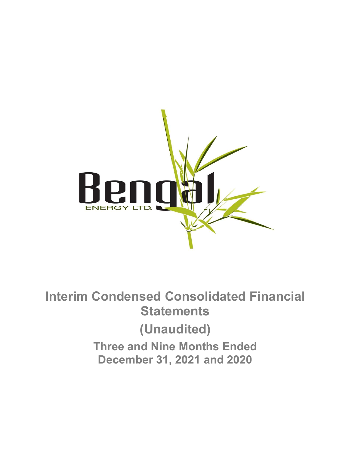

Interim Condensed Consolidated Financial **Statements** (Unaudited) Three and Nine Months Ended December 31, 2021 and 2020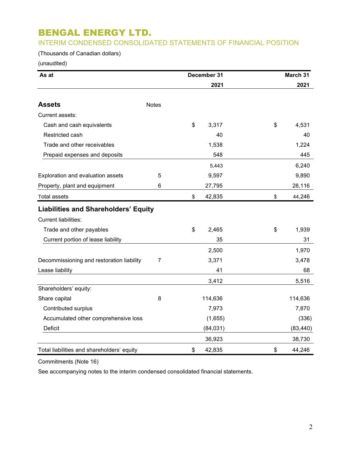# INTERIM CONDENSED CONSOLIDATED STATEMENTS OF FINANCIAL POSITION

# (Thousands of Canadian dollars)

(unaudited)

| As at                                       |              | December 31  | March 31     |
|---------------------------------------------|--------------|--------------|--------------|
|                                             |              | 2021         | 2021         |
| <b>Assets</b>                               | <b>Notes</b> |              |              |
| Current assets:                             |              |              |              |
| Cash and cash equivalents                   |              | \$<br>3,317  | \$<br>4,531  |
| Restricted cash                             |              | 40           | 40           |
| Trade and other receivables                 |              | 1,538        | 1,224        |
| Prepaid expenses and deposits               |              | 548          | 445          |
|                                             |              | 5,443        | 6,240        |
| Exploration and evaluation assets           | 5            | 9,597        | 9,890        |
| Property, plant and equipment               | 6            | 27,795       | 28,116       |
| <b>Total assets</b>                         |              | \$<br>42,835 | \$<br>44,246 |
| <b>Liabilities and Shareholders' Equity</b> |              |              |              |
| <b>Current liabilities:</b>                 |              |              |              |
| Trade and other payables                    |              | \$<br>2,465  | \$<br>1,939  |
| Current portion of lease liability          |              | 35           | 31           |
|                                             |              | 2,500        | 1,970        |
| Decommissioning and restoration liability   | 7            | 3,371        | 3,478        |
| Lease liability                             |              | 41           | 68           |
|                                             |              | 3,412        | 5,516        |
| Shareholders' equity:                       |              |              |              |
| Share capital                               | 8            | 114,636      | 114,636      |
| Contributed surplus                         |              | 7,973        | 7,870        |
| Accumulated other comprehensive loss        |              | (1,655)      | (336)        |
| Deficit                                     |              | (84,031)     | (83, 440)    |
|                                             |              | 36,923       | 38,730       |
| Total liabilities and shareholders' equity  |              | \$<br>42,835 | \$<br>44,246 |

Commitments (Note 16)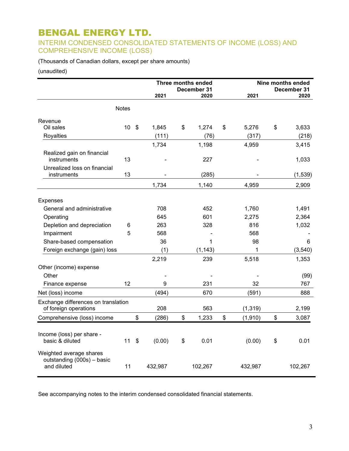# INTERIM CONDENSED CONSOLIDATED STATEMENTS OF INCOME (LOSS) AND COMPREHENSIVE INCOME (LOSS)

(Thousands of Canadian dollars, except per share amounts)

### (unaudited)

|                                                                      |              |                   |         | Three months ended<br>December 31 |          |    |          | Nine months ended<br>December 31 |
|----------------------------------------------------------------------|--------------|-------------------|---------|-----------------------------------|----------|----|----------|----------------------------------|
|                                                                      |              |                   | 2021    |                                   | 2020     |    | 2021     | 2020                             |
|                                                                      | <b>Notes</b> |                   |         |                                   |          |    |          |                                  |
| Revenue                                                              |              |                   |         |                                   |          |    |          |                                  |
| Oil sales                                                            | 10           | $\boldsymbol{\$}$ | 1,845   | \$                                | 1,274    | \$ | 5,276    | \$<br>3,633                      |
| Royalties                                                            |              |                   | (111)   |                                   | (76)     |    | (317)    | (218)                            |
|                                                                      |              |                   | 1,734   |                                   | 1,198    |    | 4,959    | 3,415                            |
| Realized gain on financial<br>instruments                            | 13           |                   |         |                                   | 227      |    |          | 1,033                            |
| Unrealized loss on financial                                         |              |                   |         |                                   |          |    |          |                                  |
| instruments                                                          | 13           |                   |         |                                   | (285)    |    |          | (1, 539)                         |
|                                                                      |              |                   | 1,734   |                                   | 1,140    |    | 4,959    | 2,909                            |
| <b>Expenses</b>                                                      |              |                   |         |                                   |          |    |          |                                  |
| General and administrative                                           |              |                   | 708     |                                   | 452      |    | 1,760    | 1,491                            |
| Operating                                                            |              |                   | 645     |                                   | 601      |    | 2,275    | 2,364                            |
| Depletion and depreciation                                           | 6            |                   | 263     |                                   | 328      |    | 816      | 1,032                            |
| Impairment                                                           | 5            |                   | 568     |                                   |          |    | 568      |                                  |
| Share-based compensation                                             |              |                   | 36      |                                   | 1        |    | 98       | 6                                |
| Foreign exchange (gain) loss                                         |              |                   | (1)     |                                   | (1, 143) |    | 1        | (3, 540)                         |
|                                                                      |              |                   | 2,219   |                                   | 239      |    | 5,518    | 1,353                            |
| Other (income) expense                                               |              |                   |         |                                   |          |    |          |                                  |
| Other                                                                |              |                   |         |                                   |          |    |          | (99)                             |
| Finance expense                                                      | 12           |                   | 9       |                                   | 231      |    | 32       | 767                              |
| Net (loss) income                                                    |              |                   | (494)   |                                   | 670      |    | (591)    | 888                              |
| Exchange differences on translation<br>of foreign operations         |              |                   | 208     |                                   | 563      |    | (1, 319) | 2,199                            |
| Comprehensive (loss) income                                          |              | \$                | (286)   | \$                                | 1,233    | \$ | (1, 910) | \$<br>3,087                      |
|                                                                      |              |                   |         |                                   |          |    |          |                                  |
| Income (loss) per share -<br>basic & diluted                         | 11           | \$                | (0.00)  | \$                                | 0.01     |    | (0.00)   | \$<br>0.01                       |
| Weighted average shares<br>outstanding (000s) - basic<br>and diluted | 11           |                   | 432,987 |                                   | 102,267  |    | 432,987  | 102,267                          |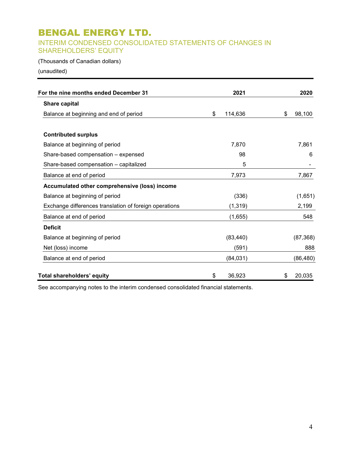# INTERIM CONDENSED CONSOLIDATED STATEMENTS OF CHANGES IN SHAREHOLDERS' EQUITY

## (Thousands of Canadian dollars)

(unaudited)

| For the nine months ended December 31                  | 2021          | 2020         |
|--------------------------------------------------------|---------------|--------------|
| <b>Share capital</b>                                   |               |              |
| Balance at beginning and end of period                 | 114,636<br>\$ | \$<br>98,100 |
| <b>Contributed surplus</b>                             |               |              |
| Balance at beginning of period                         | 7,870         | 7,861        |
| Share-based compensation - expensed                    | 98            | 6            |
| Share-based compensation - capitalized                 | 5             |              |
| Balance at end of period                               | 7,973         | 7,867        |
| Accumulated other comprehensive (loss) income          |               |              |
| Balance at beginning of period                         | (336)         | (1,651)      |
| Exchange differences translation of foreign operations | (1, 319)      | 2,199        |
| Balance at end of period                               | (1,655)       | 548          |
| <b>Deficit</b>                                         |               |              |
| Balance at beginning of period                         | (83, 440)     | (87, 368)    |
| Net (loss) income                                      | (591)         | 888          |
| Balance at end of period                               | (84, 031)     | (86, 480)    |
| Total shareholders' equity                             | 36,923<br>\$  | \$<br>20,035 |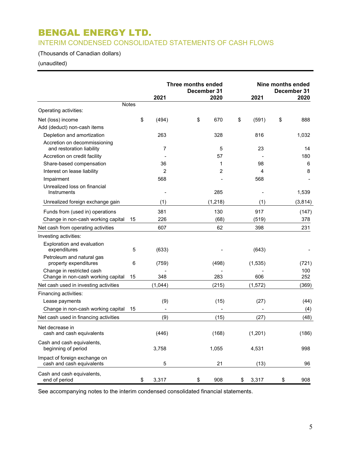# INTERIM CONDENSED CONSOLIDATED STATEMENTS OF CASH FLOWS

# (Thousands of Canadian dollars)

# (unaudited)

|                                                                 |              |         | Three months ended<br>December 31 |             | Nine months ended<br>December 31 |
|-----------------------------------------------------------------|--------------|---------|-----------------------------------|-------------|----------------------------------|
|                                                                 |              | 2021    | 2020                              | 2021        | 2020                             |
|                                                                 | <b>Notes</b> |         |                                   |             |                                  |
| Operating activities:                                           |              |         |                                   |             |                                  |
| Net (loss) income                                               | \$           | (494)   | \$<br>670                         | \$<br>(591) | \$<br>888                        |
| Add (deduct) non-cash items                                     |              |         |                                   |             |                                  |
| Depletion and amortization                                      |              | 263     | 328                               | 816         | 1,032                            |
| Accretion on decommissioning<br>and restoration liability       |              | 7       | 5                                 | 23          | 14                               |
| Accretion on credit facility                                    |              |         | 57                                |             | 180                              |
| Share-based compensation                                        |              | 36      | 1                                 | 98          | 6                                |
| Interest on lease liability                                     |              | 2       | $\overline{2}$                    | 4           | 8                                |
| Impairment                                                      |              | 568     |                                   | 568         |                                  |
| Unrealized loss on financial<br>Instruments                     |              |         | 285                               |             | 1,539                            |
| Unrealized foreign exchange gain                                |              | (1)     | (1, 218)                          | (1)         | (3,814)                          |
| Funds from (used in) operations                                 |              | 381     | 130                               | 917         | (147)                            |
| Change in non-cash working capital                              | 15           | 226     | (68)                              | (519)       | 378                              |
| Net cash from operating activities                              |              | 607     | 62                                | 398         | 231                              |
| Investing activities:                                           |              |         |                                   |             |                                  |
| Exploration and evaluation<br>expenditures                      | 5            | (633)   |                                   | (643)       |                                  |
| Petroleum and natural gas<br>property expenditures              | 6            | (759)   | (498)                             | (1, 535)    | (721)                            |
| Change in restricted cash<br>Change in non-cash working capital | 15           | 348     | 283                               | 606         | 100<br>252                       |
| Net cash used in investing activities                           |              | (1,044) | (215)                             | (1, 572)    | (369)                            |
| Financing activities:                                           |              |         |                                   |             |                                  |
| Lease payments                                                  |              | (9)     | (15)                              | (27)        | (44)                             |
| Change in non-cash working capital                              | 15           |         |                                   |             | (4)                              |
| Net cash used in financing activities                           |              | (9)     | (15)                              | (27)        | (48)                             |
| Net decrease in                                                 |              |         |                                   |             |                                  |
| cash and cash equivalents                                       |              | (446)   | (168)                             | (1, 201)    | (186)                            |
| Cash and cash equivalents,<br>beginning of period               |              | 3,758   | 1,055                             | 4,531       | 998                              |
| Impact of foreign exchange on<br>cash and cash equivalents      |              | 5       | 21                                | (13)        | 96                               |
| Cash and cash equivalents,<br>end of period                     | \$           | 3,317   | \$<br>908                         | \$<br>3,317 | \$<br>908                        |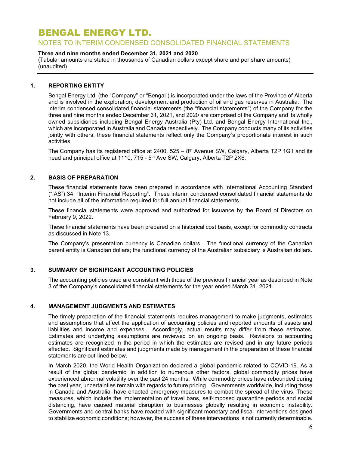## NOTES TO INTERIM CONDENSED CONSOLIDATED FINANCIAL STATEMENTS

### Three and nine months ended December 31, 2021 and 2020

(Tabular amounts are stated in thousands of Canadian dollars except share and per share amounts) (unaudited)

### 1. REPORTING ENTITY

Bengal Energy Ltd. (the "Company" or "Bengal") is incorporated under the laws of the Province of Alberta and is involved in the exploration, development and production of oil and gas reserves in Australia. The interim condensed consolidated financial statements (the "financial statements") of the Company for the three and nine months ended December 31, 2021, and 2020 are comprised of the Company and its wholly owned subsidiaries including Bengal Energy Australia (Pty) Ltd. and Bengal Energy International Inc., which are incorporated in Australia and Canada respectively. The Company conducts many of its activities jointly with others; these financial statements reflect only the Company's proportionate interest in such activities.

The Company has its registered office at 2400,  $525 - 8<sup>th</sup>$  Avenue SW, Calgary, Alberta T2P 1G1 and its head and principal office at 1110, 715 - 5<sup>th</sup> Ave SW, Calgary, Alberta T2P 2X6.

## 2. BASIS OF PREPARATION

These financial statements have been prepared in accordance with International Accounting Standard ("IAS") 34, "Interim Financial Reporting". These interim condensed consolidated financial statements do not include all of the information required for full annual financial statements.

These financial statements were approved and authorized for issuance by the Board of Directors on February 9, 2022.

These financial statements have been prepared on a historical cost basis, except for commodity contracts as discussed in Note 13.

The Company's presentation currency is Canadian dollars. The functional currency of the Canadian parent entity is Canadian dollars; the functional currency of the Australian subsidiary is Australian dollars.

## 3. SUMMARY OF SIGNIFICANT ACCOUNTING POLICIES

The accounting policies used are consistent with those of the previous financial year as described in Note 3 of the Company's consolidated financial statements for the year ended March 31, 2021.

### 4. MANAGEMENT JUDGMENTS AND ESTIMATES

The timely preparation of the financial statements requires management to make judgments, estimates and assumptions that affect the application of accounting policies and reported amounts of assets and liabilities and income and expenses. Accordingly, actual results may differ from these estimates. Estimates and underlying assumptions are reviewed on an ongoing basis. Revisions to accounting estimates are recognized in the period in which the estimates are revised and in any future periods affected. Significant estimates and judgments made by management in the preparation of these financial statements are out-lined below.

In March 2020, the World Health Organization declared a global pandemic related to COVID-19. As a result of the global pandemic, in addition to numerous other factors, global commodity prices have experienced abnormal volatility over the past 24 months. While commodity prices have rebounded during the past year, uncertainties remain with regards to future pricing. Governments worldwide, including those in Canada and Australia, have enacted emergency measures to combat the spread of the virus. These measures, which include the implementation of travel bans, self-imposed quarantine periods and social distancing, have caused material disruption to businesses globally resulting in economic instability. Governments and central banks have reacted with significant monetary and fiscal interventions designed to stabilize economic conditions; however, the success of these interventions is not currently determinable.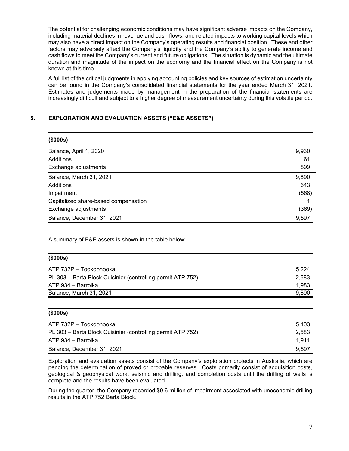The potential for challenging economic conditions may have significant adverse impacts on the Company, including material declines in revenue and cash flows, and related impacts to working capital levels which may also have a direct impact on the Company's operating results and financial position. These and other factors may adversely affect the Company's liquidity and the Company's ability to generate income and cash flows to meet the Company's current and future obligations. The situation is dynamic and the ultimate duration and magnitude of the impact on the economy and the financial effect on the Company is not known at this time.

A full list of the critical judgments in applying accounting policies and key sources of estimation uncertainty can be found in the Company's consolidated financial statements for the year ended March 31, 2021. Estimates and judgements made by management in the preparation of the financial statements are increasingly difficult and subject to a higher degree of measurement uncertainty during this volatile period.

## 5. EXPLORATION AND EVALUATION ASSETS ("E&E ASSETS")

| (\$000s)                             |       |
|--------------------------------------|-------|
| Balance, April 1, 2020               | 9,930 |
| Additions                            | 61    |
| Exchange adjustments                 | 899   |
| Balance, March 31, 2021              | 9,890 |
| Additions                            | 643   |
| Impairment                           | (568) |
| Capitalized share-based compensation |       |
| Exchange adjustments                 | (369) |
| Balance, December 31, 2021           | 9,597 |

A summary of E&E assets is shown in the table below:

| $($ \$000s $)$                                              |       |
|-------------------------------------------------------------|-------|
| ATP 732P - Tookoonooka                                      | 5.224 |
| PL 303 - Barta Block Cuisinier (controlling permit ATP 752) | 2,683 |
| ATP 934 – Barrolka                                          | 1,983 |
| Balance, March 31, 2021                                     | 9,890 |

### (\$000s)

| ATP 732P – Tookoonooka                                      | 5.103 |
|-------------------------------------------------------------|-------|
| PL 303 – Barta Block Cuisinier (controlling permit ATP 752) | 2.583 |
| ATP 934 – Barrolka                                          | 1.911 |
| Balance, December 31, 2021                                  | 9.597 |

Exploration and evaluation assets consist of the Company's exploration projects in Australia, which are pending the determination of proved or probable reserves. Costs primarily consist of acquisition costs, geological & geophysical work, seismic and drilling, and completion costs until the drilling of wells is complete and the results have been evaluated.

During the quarter, the Company recorded \$0.6 million of impairment associated with uneconomic drilling results in the ATP 752 Barta Block.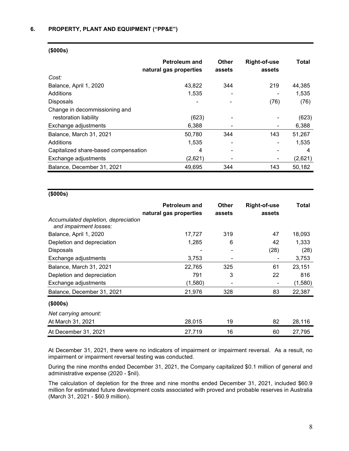|                                      | <b>Petroleum and</b><br>natural gas properties | <b>Other</b><br>assets | <b>Right-of-use</b><br>assets | <b>Total</b> |
|--------------------------------------|------------------------------------------------|------------------------|-------------------------------|--------------|
| Cost:                                |                                                |                        |                               |              |
| Balance, April 1, 2020               | 43,822                                         | 344                    | 219                           | 44,385       |
| Additions                            | 1,535                                          |                        |                               | 1,535        |
| <b>Disposals</b>                     |                                                |                        | (76)                          | (76)         |
| Change in decommissioning and        |                                                |                        |                               |              |
| restoration liability                | (623)                                          |                        |                               | (623)        |
| Exchange adjustments                 | 6,388                                          |                        |                               | 6,388        |
| Balance, March 31, 2021              | 50,780                                         | 344                    | 143                           | 51,267       |
| Additions                            | 1,535                                          |                        |                               | 1,535        |
| Capitalized share-based compensation | 4                                              |                        |                               | 4            |
| Exchange adjustments                 | (2,621)                                        |                        |                               | (2,621)      |
| Balance, December 31, 2021           | 49,695                                         | 344                    | 143                           | 50,182       |

#### (\$000s)

## (\$000s)

|                                                               | <b>Petroleum and</b><br>natural gas properties | <b>Other</b><br>assets | <b>Right-of-use</b><br>assets | Total   |
|---------------------------------------------------------------|------------------------------------------------|------------------------|-------------------------------|---------|
| Accumulated depletion, depreciation<br>and impairment losses: |                                                |                        |                               |         |
| Balance, April 1, 2020                                        | 17,727                                         | 319                    | 47                            | 18,093  |
| Depletion and depreciation                                    | 1,285                                          | 6                      | 42                            | 1,333   |
| Disposals                                                     |                                                |                        | (28)                          | (28)    |
| Exchange adjustments                                          | 3,753                                          |                        | -                             | 3,753   |
| Balance, March 31, 2021                                       | 22,765                                         | 325                    | 61                            | 23,151  |
| Depletion and depreciation                                    | 791                                            | 3                      | 22                            | 816     |
| Exchange adjustments                                          | (1,580)                                        |                        | $\overline{\phantom{a}}$      | (1,580) |
| Balance, December 31, 2021                                    | 21,976                                         | 328                    | 83                            | 22,387  |
| (\$000s)                                                      |                                                |                        |                               |         |
| Net carrying amount:                                          |                                                |                        |                               |         |
| At March 31, 2021                                             | 28,015                                         | 19                     | 82                            | 28,116  |
| At December 31, 2021                                          | 27,719                                         | 16                     | 60                            | 27,795  |

At December 31, 2021, there were no indicators of impairment or impairment reversal. As a result, no impairment or impairment reversal testing was conducted.

During the nine months ended December 31, 2021, the Company capitalized \$0.1 million of general and administrative expense (2020 - \$nil).

The calculation of depletion for the three and nine months ended December 31, 2021, included \$60.9 million for estimated future development costs associated with proved and probable reserves in Australia (March 31, 2021 - \$60.9 million).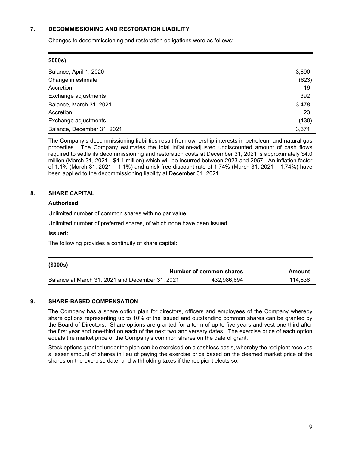### 7. DECOMMISSIONING AND RESTORATION LIABILITY

Changes to decommissioning and restoration obligations were as follows:

| \$000s)                    |       |
|----------------------------|-------|
| Balance, April 1, 2020     | 3,690 |
| Change in estimate         | (623) |
| Accretion                  | 19    |
| Exchange adjustments       | 392   |
| Balance, March 31, 2021    | 3,478 |
| Accretion                  | 23    |
| Exchange adjustments       | (130) |
| Balance, December 31, 2021 | 3,371 |

The Company's decommissioning liabilities result from ownership interests in petroleum and natural gas properties. The Company estimates the total inflation-adjusted undiscounted amount of cash flows required to settle its decommissioning and restoration costs at December 31, 2021 is approximately \$4.0 million (March 31, 2021 - \$4.1 million) which will be incurred between 2023 and 2057. An inflation factor of 1.1% (March 31, 2021 – 1.1%) and a risk-free discount rate of 1.74% (March 31, 2021 – 1.74%) have been applied to the decommissioning liability at December 31, 2021.

## 8. SHARE CAPITAL

### Authorized:

Unlimited number of common shares with no par value.

Unlimited number of preferred shares, of which none have been issued.

## Issued:

The following provides a continuity of share capital:

| (\$000s)                                        |                         |         |
|-------------------------------------------------|-------------------------|---------|
|                                                 | Number of common shares | Amount  |
| Balance at March 31, 2021 and December 31, 2021 | 432.986.694             | 114.636 |

## 9. SHARE-BASED COMPENSATION

The Company has a share option plan for directors, officers and employees of the Company whereby share options representing up to 10% of the issued and outstanding common shares can be granted by the Board of Directors. Share options are granted for a term of up to five years and vest one-third after the first year and one-third on each of the next two anniversary dates. The exercise price of each option equals the market price of the Company's common shares on the date of grant.

Stock options granted under the plan can be exercised on a cashless basis, whereby the recipient receives a lesser amount of shares in lieu of paying the exercise price based on the deemed market price of the shares on the exercise date, and withholding taxes if the recipient elects so.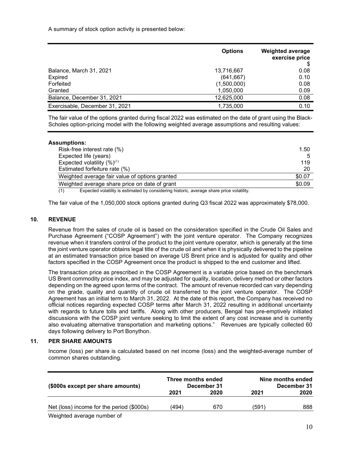A summary of stock option activity is presented below:

|                                | <b>Options</b> | <b>Weighted average</b><br>exercise price |
|--------------------------------|----------------|-------------------------------------------|
| Balance, March 31, 2021        | 13,716,667     | 0.08                                      |
| Expired                        | (641, 667)     | 0.10                                      |
| Forfeited                      | (1,500,000)    | 0.08                                      |
| Granted                        | 1,050,000      | 0.09                                      |
| Balance, December 31, 2021     | 12,625,000     | 0.08                                      |
| Exercisable, December 31, 2021 | 1,735,000      | 0.10                                      |

The fair value of the options granted during fiscal 2022 was estimated on the date of grant using the Black-Scholes option-pricing model with the following weighted average assumptions and resulting values:

| Assumptions:                                   |        |
|------------------------------------------------|--------|
| Risk-free interest rate (%)                    | 1.50   |
| Expected life (years)                          |        |
| Expected volatility $(\%)^{(1)}$               | 119    |
| Estimated forfeiture rate (%)                  | 20     |
| Weighted average fair value of options granted | \$0.07 |
| Weighted average share price on date of grant  | \$0.09 |
| $\lambda$                                      |        |

(1) Expected volatility is estimated by considering historic, average share price volatility.

The fair value of the 1,050,000 stock options granted during Q3 fiscal 2022 was approximately \$78,000.

### 10. REVENUE

Revenue from the sales of crude oil is based on the consideration specified in the Crude Oil Sales and Purchase Agreement ("COSP Agreement") with the joint venture operator. The Company recognizes revenue when it transfers control of the product to the joint venture operator, which is generally at the time the joint venture operator obtains legal title of the crude oil and when it is physically delivered to the pipeline at an estimated transaction price based on average US Brent price and is adjusted for quality and other factors specified in the COSP Agreement once the product is shipped to the end customer and lifted.

The transaction price as prescribed in the COSP Agreement is a variable price based on the benchmark US Brent commodity price index, and may be adjusted for quality, location, delivery method or other factors depending on the agreed upon terms of the contract. The amount of revenue recorded can vary depending on the grade, quality and quantity of crude oil transferred to the joint venture operator. The COSP Agreement has an initial term to March 31, 2022. At the date of this report, the Company has received no official notices regarding expected COSP terms after March 31, 2022 resulting in additional uncertainty with regards to future tolls and tariffs. Along with other producers, Bengal has pre-emptively initiated discussions with the COSP joint venture seeking to limit the extent of any cost increase and is currently also evaluating alternative transportation and marketing options." Revenues are typically collected 60 days following delivery to Port Bonython.

### 11. PER SHARE AMOUNTS

Income (loss) per share is calculated based on net income (loss) and the weighted-average number of common shares outstanding.

| (\$000s except per share amounts)         | Three months ended<br>December 31 |      |       | Nine months ended<br>December 31 |
|-------------------------------------------|-----------------------------------|------|-------|----------------------------------|
|                                           | 2021                              | 2020 | 2021  | 2020                             |
| Net (loss) income for the period (\$000s) | (494)                             | 670  | (591) | 888                              |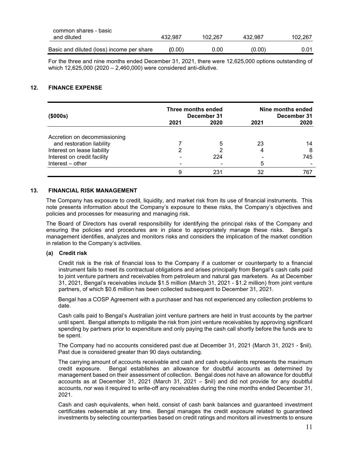| common shares - basic                     |         |         |         |         |
|-------------------------------------------|---------|---------|---------|---------|
| and diluted                               | 432.987 | 102.267 | 432.987 | 102.267 |
| Basic and diluted (loss) income per share | (0.00)  | 0.00    | (0.00)  | 0.01    |
|                                           |         |         |         |         |

For the three and nine months ended December 31, 2021, there were 12,625,000 options outstanding of which 12,625,000 (2020 – 2,460,000) were considered anti-dilutive.

## 12. FINANCE EXPENSE

| (\$000s)                     | Three months ended | December 31 |      | Nine months ended<br>December 31 |
|------------------------------|--------------------|-------------|------|----------------------------------|
|                              | 2021               | 2020        | 2021 | 2020                             |
| Accretion on decommissioning |                    |             |      |                                  |
| and restoration liability    |                    | 5           | 23   | 14                               |
| Interest on lease liability  |                    |             |      | 8                                |
| Interest on credit facility  |                    | 224         |      | 745                              |
| Interest – other             |                    |             | 5    |                                  |
|                              |                    | 231         | 32   | 767                              |

### 13. FINANCIAL RISK MANAGEMENT

The Company has exposure to credit, liquidity, and market risk from its use of financial instruments. This note presents information about the Company's exposure to these risks, the Company's objectives and policies and processes for measuring and managing risk.

The Board of Directors has overall responsibility for identifying the principal risks of the Company and ensuring the policies and procedures are in place to appropriately manage these risks. Bengal's management identifies, analyzes and monitors risks and considers the implication of the market condition in relation to the Company's activities.

### (a) Credit risk

Credit risk is the risk of financial loss to the Company if a customer or counterparty to a financial instrument fails to meet its contractual obligations and arises principally from Bengal's cash calls paid to joint venture partners and receivables from petroleum and natural gas marketers. As at December 31, 2021, Bengal's receivables include \$1.5 million (March 31, 2021 - \$1.2 million) from joint venture partners, of which \$0.6 million has been collected subsequent to December 31, 2021.

Bengal has a COSP Agreement with a purchaser and has not experienced any collection problems to date.

Cash calls paid to Bengal's Australian joint venture partners are held in trust accounts by the partner until spent. Bengal attempts to mitigate the risk from joint venture receivables by approving significant spending by partners prior to expenditure and only paying the cash call shortly before the funds are to be spent.

The Company had no accounts considered past due at December 31, 2021 (March 31, 2021 - \$nil). Past due is considered greater than 90 days outstanding.

The carrying amount of accounts receivable and cash and cash equivalents represents the maximum credit exposure. Bengal establishes an allowance for doubtful accounts as determined by management based on their assessment of collection. Bengal does not have an allowance for doubtful accounts as at December 31, 2021 (March 31, 2021 – \$nil) and did not provide for any doubtful accounts, nor was it required to write-off any receivables during the nine months ended December 31, 2021.

Cash and cash equivalents, when held, consist of cash bank balances and guaranteed investment certificates redeemable at any time. Bengal manages the credit exposure related to guaranteed investments by selecting counterparties based on credit ratings and monitors all investments to ensure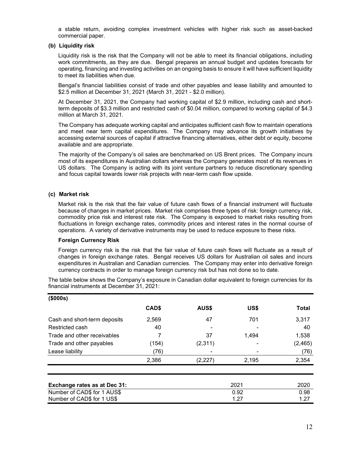a stable return, avoiding complex investment vehicles with higher risk such as asset-backed commercial paper.

### (b) Liquidity risk

Liquidity risk is the risk that the Company will not be able to meet its financial obligations, including work commitments, as they are due. Bengal prepares an annual budget and updates forecasts for operating, financing and investing activities on an ongoing basis to ensure it will have sufficient liquidity to meet its liabilities when due.

Bengal's financial liabilities consist of trade and other payables and lease liability and amounted to \$2.5 million at December 31, 2021 (March 31, 2021 - \$2.0 million).

At December 31, 2021, the Company had working capital of \$2.9 million, including cash and shortterm deposits of \$3.3 million and restricted cash of \$0.04 million, compared to working capital of \$4.3 million at March 31, 2021.

The Company has adequate working capital and anticipates sufficient cash flow to maintain operations and meet near term capital expenditures. The Company may advance its growth initiatives by accessing external sources of capital if attractive financing alternatives, either debt or equity, become available and are appropriate.

The majority of the Company's oil sales are benchmarked on US Brent prices. The Company incurs most of its expenditures in Australian dollars whereas the Company generates most of its revenues in US dollars. The Company is acting with its joint venture partners to reduce discretionary spending and focus capital towards lower risk projects with near-term cash flow upside.

### (c) Market risk

Market risk is the risk that the fair value of future cash flows of a financial instrument will fluctuate because of changes in market prices. Market risk comprises three types of risk: foreign currency risk, commodity price risk and interest rate risk. The Company is exposed to market risks resulting from fluctuations in foreign exchange rates, commodity prices and interest rates in the normal course of operations. A variety of derivative instruments may be used to reduce exposure to these risks.

### Foreign Currency Risk

Foreign currency risk is the risk that the fair value of future cash flows will fluctuate as a result of changes in foreign exchange rates. Bengal receives US dollars for Australian oil sales and incurs expenditures in Australian and Canadian currencies. The Company may enter into derivative foreign currency contracts in order to manage foreign currency risk but has not done so to date.

The table below shows the Company's exposure in Canadian dollar equivalent to foreign currencies for its financial instruments at December 31, 2021:

| (\$000s)                     |       |          |       |          |
|------------------------------|-------|----------|-------|----------|
|                              | CAD\$ | AUS\$    | US\$  | Total    |
| Cash and short-term deposits | 2,569 | 47       | 701   | 3,317    |
| Restricted cash              | 40    |          |       | 40       |
| Trade and other receivables  |       | 37       | 1,494 | 1,538    |
| Trade and other payables     | (154) | (2, 311) |       | (2, 465) |
| Lease liability              | (76)  |          |       | (76)     |
|                              | 2,386 | (2,227)  | 2,195 | 2,354    |

| Exchange rates as at Dec 31: | 2021 | 2020 |
|------------------------------|------|------|
| Number of CAD\$ for 1 AUS\$  | 0.92 | 0.98 |
| Number of CAD\$ for 1 US\$   | 1.27 | 1.27 |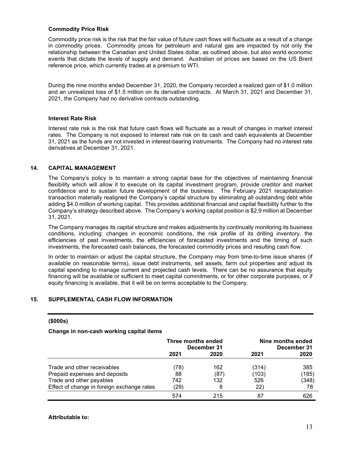#### Commodity Price Risk

Commodity price risk is the risk that the fair value of future cash flows will fluctuate as a result of a change in commodity prices. Commodity prices for petroleum and natural gas are impacted by not only the relationship between the Canadian and United States dollar, as outlined above, but also world economic events that dictate the levels of supply and demand. Australian oil prices are based on the US Brent reference price, which currently trades at a premium to WTI.

During the nine months ended December 31, 2020, the Company recorded a realized gain of \$1.0 million and an unrealized loss of \$1.5 million on its derivative contracts. At March 31, 2021 and December 31, 2021, the Company had no derivative contracts outstanding.

### Interest Rate Risk

Interest rate risk is the risk that future cash flows will fluctuate as a result of changes in market interest rates. The Company is not exposed to interest rate risk on its cash and cash equivalents at December 31, 2021 as the funds are not invested in interest-bearing instruments. The Company had no interest rate derivatives at December 31, 2021.

### 14. CAPITAL MANAGEMENT

The Company's policy is to maintain a strong capital base for the objectives of maintaining financial flexibility which will allow it to execute on its capital investment program, provide creditor and market confidence and to sustain future development of the business. The February 2021 recapitalization transaction materially realigned the Company's capital structure by eliminating all outstanding debt while adding \$4.0 million of working capital. This provides additional financial and capital flexibility further to the Company's strategy described above. The Company's working capital position is \$2.9 million at December 31, 2021.

The Company manages its capital structure and makes adjustments by continually monitoring its business conditions, including: changes in economic conditions, the risk profile of its drilling inventory, the efficiencies of past investments, the efficiencies of forecasted investments and the timing of such investments, the forecasted cash balances, the forecasted commodity prices and resulting cash flow.

In order to maintain or adjust the capital structure, the Company may from time-to-time issue shares (if available on reasonable terms), issue debt instruments, sell assets, farm out properties and adjust its capital spending to manage current and projected cash levels. There can be no assurance that equity financing will be available or sufficient to meet capital commitments, or for other corporate purposes, or if equity financing is available, that it will be on terms acceptable to the Company.

### 15. SUPPLEMENTAL CASH FLOW INFORMATION

#### (\$000s)

### Change in non-cash working capital items

|                                            | Three months ended<br>December 31 |      | Nine months ended<br>December 31 |       |
|--------------------------------------------|-----------------------------------|------|----------------------------------|-------|
|                                            | 2021                              | 2020 | 2021                             | 2020  |
| Trade and other receivables                | 78)                               | 162  | (314)                            | 385   |
| Prepaid expenses and deposits              | 88                                | (87) | (103)                            | (185) |
| Trade and other payables                   | 742                               | 132  | 526                              | (348) |
| Effect of change in foreign exchange rates | (29)                              | 8    | (22)                             | 78    |
|                                            | 574                               | 215  | 87                               | 626   |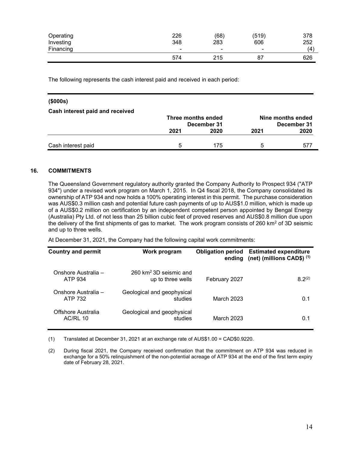| Operating | 226                      | (68)                     | (519)                    | 378 |
|-----------|--------------------------|--------------------------|--------------------------|-----|
| Investing | 348                      | 283                      | 606                      | 252 |
| Financing | $\overline{\phantom{0}}$ | $\overline{\phantom{0}}$ | $\overline{\phantom{0}}$ | (4) |
|           | 574                      | 215                      | 87                       | 626 |

The following represents the cash interest paid and received in each period:

| (\$000s)                        |                    |             |      |                   |
|---------------------------------|--------------------|-------------|------|-------------------|
| Cash interest paid and received |                    |             |      |                   |
|                                 | Three months ended |             |      | Nine months ended |
|                                 |                    | December 31 |      | December 31       |
|                                 | 2021               | 2020        | 2021 | 2020              |
|                                 |                    |             |      |                   |
| Cash interest paid              | 5                  | 175         | 5    | 577               |

## 16. COMMITMENTS

The Queensland Government regulatory authority granted the Company Authority to Prospect 934 ("ATP 934") under a revised work program on March 1, 2015. In Q4 fiscal 2018, the Company consolidated its ownership of ATP 934 and now holds a 100% operating interest in this permit. The purchase consideration was AUS\$0.3 million cash and potential future cash payments of up to AUS\$1.0 million, which is made up of a AUS\$0.2 million on certification by an independent competent person appointed by Bengal Energy (Australia) Pty Ltd. of not less than 25 billion cubic feet of proved reserves and AUS\$0.8 million due upon the delivery of the first shipments of gas to market. The work program consists of 260 km<sup>2</sup> of 3D seismic and up to three wells.

At December 31, 2021, the Company had the following capital work commitments:

| <b>Country and permit</b>             | Work program                                           |               | <b>Obligation period Estimated expenditure</b><br>ending (net) (millions CAD\$) (1) |
|---------------------------------------|--------------------------------------------------------|---------------|-------------------------------------------------------------------------------------|
| Onshore Australia -<br>ATP 934        | $260 \text{ km}^2 3D$ seismic and<br>up to three wells | February 2027 | $8.2^{(2)}$                                                                         |
| Onshore Australia -<br>ATP 732        | Geological and geophysical<br>studies                  | March 2023    | 0.1                                                                                 |
| Offshore Australia<br><b>AC/RL 10</b> | Geological and geophysical<br>studies                  | March 2023    | 0.1                                                                                 |

(1) Translated at December 31, 2021 at an exchange rate of AUS\$1.00 = CAD\$0.9220.

(2) During fiscal 2021, the Company received confirmation that the commitment on ATP 934 was reduced in exchange for a 50% relinquishment of the non-potential acreage of ATP 934 at the end of the first term expiry date of February 28, 2021.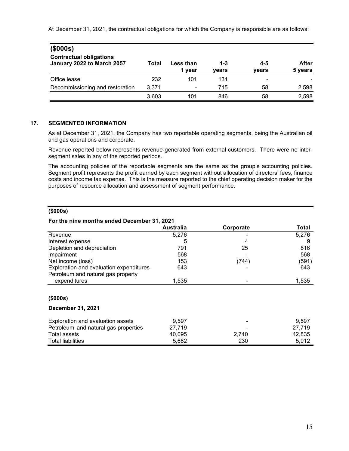At December 31, 2021, the contractual obligations for which the Company is responsible are as follows:

| (\$000s)                                                     |       |                     |                  |              |                  |
|--------------------------------------------------------------|-------|---------------------|------------------|--------------|------------------|
| <b>Contractual obligations</b><br>January 2022 to March 2057 | Total | Less than<br>1 year | $1 - 3$<br>vears | 4-5<br>years | After<br>5 years |
| Office lease                                                 | 232   | 101                 | 131              | ۰            |                  |
| Decommissioning and restoration                              | 3.371 | $\blacksquare$      | 715              | 58           | 2,598            |
|                                                              | 3,603 | 101                 | 846              | 58           | 2,598            |

## 17. SEGMENTED INFORMATION

As at December 31, 2021, the Company has two reportable operating segments, being the Australian oil and gas operations and corporate.

Revenue reported below represents revenue generated from external customers. There were no intersegment sales in any of the reported periods.

The accounting policies of the reportable segments are the same as the group's accounting policies. Segment profit represents the profit earned by each segment without allocation of directors' fees, finance costs and income tax expense. This is the measure reported to the chief operating decision maker for the purposes of resource allocation and assessment of segment performance.

### (\$000s)

### For the nine months ended December 31, 2021

|                                         | <b>Australia</b> | Corporate | Total |
|-----------------------------------------|------------------|-----------|-------|
| Revenue                                 | 5,276            |           | 5,276 |
| Interest expense                        | 5                | 4         |       |
| Depletion and depreciation              | 791              | 25        | 816   |
| Impairment                              | 568              |           | 568   |
| Net income (loss)                       | 153              | (744)     | (591) |
| Exploration and evaluation expenditures | 643              |           | 643   |
| Petroleum and natural gas property      |                  |           |       |
| expenditures                            | 1,535            |           | 1,535 |
| (\$000s)                                |                  |           |       |
| <b>December 31, 2021</b>                |                  |           |       |

| Exploration and evaluation assets    | 9.597  | $\blacksquare$           | 9.597  |
|--------------------------------------|--------|--------------------------|--------|
| Petroleum and natural gas properties | 27.719 | $\overline{\phantom{0}}$ | 27.719 |
| Total assets                         | 40.095 | 2.740                    | 42.835 |
| <b>Total liabilities</b>             | 5.682  | 230                      | 5.912  |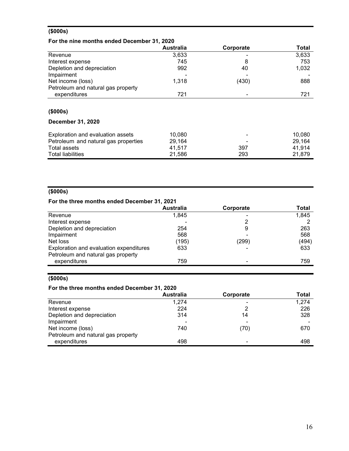## (\$000s)

## For the nine months ended December 31, 2020

|                                      | <b>Australia</b> | Corporate | <b>Total</b> |
|--------------------------------------|------------------|-----------|--------------|
| Revenue                              | 3,633            |           | 3,633        |
| Interest expense                     | 745              | 8         | 753          |
| Depletion and depreciation           | 992              | 40        | 1,032        |
| Impairment                           |                  |           |              |
| Net income (loss)                    | 1,318            | (430)     | 888          |
| Petroleum and natural gas property   |                  |           |              |
| expenditures                         | 721              |           | 721          |
|                                      |                  |           |              |
| (\$000s)                             |                  |           |              |
| <b>December 31, 2020</b>             |                  |           |              |
| Exploration and evaluation assets    | 10,080           |           | 10,080       |
| Petroleum and natural gas properties | 29,164           |           | 29,164       |
| <b>Total assets</b>                  | 41,517           | 397       | 41,914       |
| <b>Total liabilities</b>             | 21,586           | 293       | 21,879       |

# (\$000s)

# For the three months ended December 31, 2021

|                                         | <b>Australia</b> | Corporate | Total |
|-----------------------------------------|------------------|-----------|-------|
| Revenue                                 | 1,845            |           | 1,845 |
| Interest expense                        |                  |           |       |
| Depletion and depreciation              | 254              | 9         | 263   |
| Impairment                              | 568              |           | 568   |
| Net loss                                | (195)            | (299)     | (494) |
| Exploration and evaluation expenditures | 633              |           | 633   |
| Petroleum and natural gas property      |                  |           |       |
| expenditures                            | 759              | -         | 759   |

# (\$000s)

## For the three months ended December 31, 2020

|                                    | <b>Australia</b> | Corporate | Total |
|------------------------------------|------------------|-----------|-------|
| Revenue                            | 1,274            |           | 1,274 |
| Interest expense                   | 224              | 2         | 226   |
| Depletion and depreciation         | 314              | 14        | 328   |
| Impairment                         |                  |           |       |
| Net income (loss)                  | 740              | (70)      | 670   |
| Petroleum and natural gas property |                  |           |       |
| expenditures                       | 498              |           | 498   |